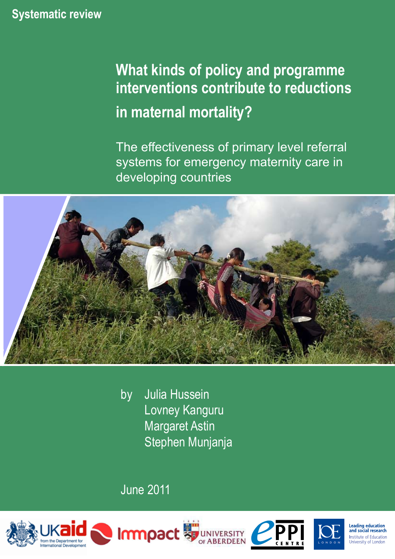# **Systematic review**

# **What kinds of policy and programme interventions contribute to reductions in maternal mortality?**

The effectiveness of primary level referral systems for emergency maternity care in developing countries



by Julia Hussein Lovney Kanguru Margaret Astin Stephen Munjanja

June 2011





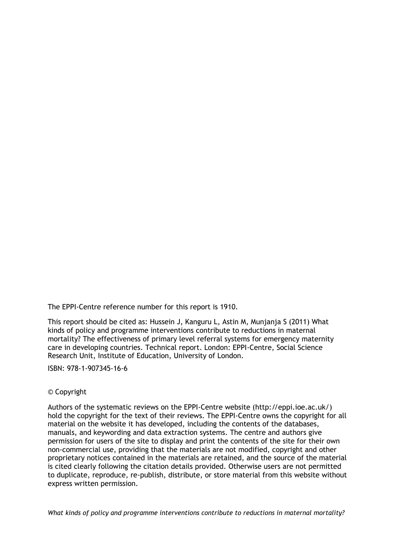The EPPI-Centre reference number for this report is 1910.

This report should be cited as: Hussein J, Kanguru L, Astin M, Munjanja S (2011) What kinds of policy and programme interventions contribute to reductions in maternal mortality? The effectiveness of primary level referral systems for emergency maternity care in developing countries. Technical report. London: EPPI-Centre, Social Science Research Unit, Institute of Education, University of London.

ISBN: 978-1-907345-16-6

#### © Copyright

Authors of the systematic reviews on the EPPI-Centre website [\(http://eppi.ioe.ac.uk/\)](http://eppi.ioe.ac.uk/) hold the copyright for the text of their reviews. The EPPI-Centre owns the copyright for all material on the website it has developed, including the contents of the databases, manuals, and keywording and data extraction systems. The centre and authors give permission for users of the site to display and print the contents of the site for their own non-commercial use, providing that the materials are not modified, copyright and other proprietary notices contained in the materials are retained, and the source of the material is cited clearly following the citation details provided. Otherwise users are not permitted to duplicate, reproduce, re-publish, distribute, or store material from this website without express written permission.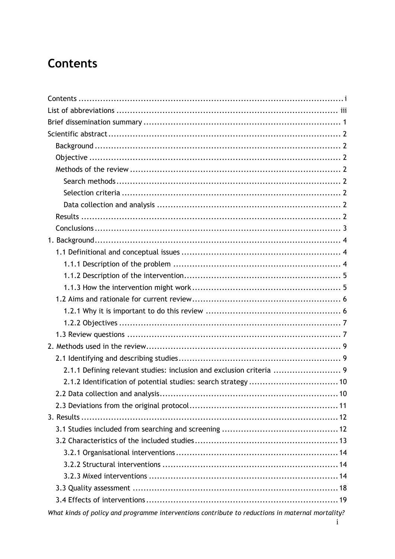# <span id="page-2-0"></span>**Contents**

| 2.1.1 Defining relevant studies: inclusion and exclusion criteria  9                             |
|--------------------------------------------------------------------------------------------------|
|                                                                                                  |
|                                                                                                  |
|                                                                                                  |
|                                                                                                  |
|                                                                                                  |
|                                                                                                  |
|                                                                                                  |
|                                                                                                  |
|                                                                                                  |
|                                                                                                  |
|                                                                                                  |
| What kinds of policy and programme interventions contribute to reductions in maternal mortality? |

 $\mathbf{i}$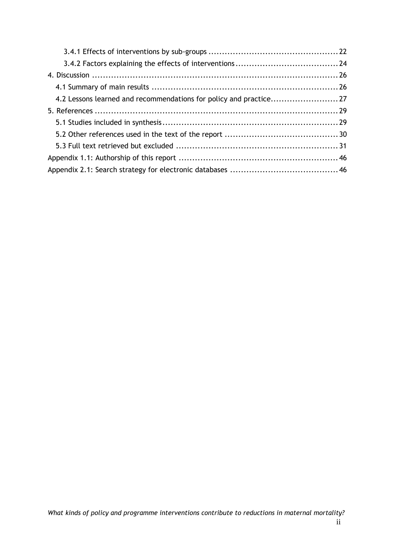| 4.2 Lessons learned and recommendations for policy and practice27 |  |
|-------------------------------------------------------------------|--|
|                                                                   |  |
|                                                                   |  |
|                                                                   |  |
|                                                                   |  |
|                                                                   |  |
|                                                                   |  |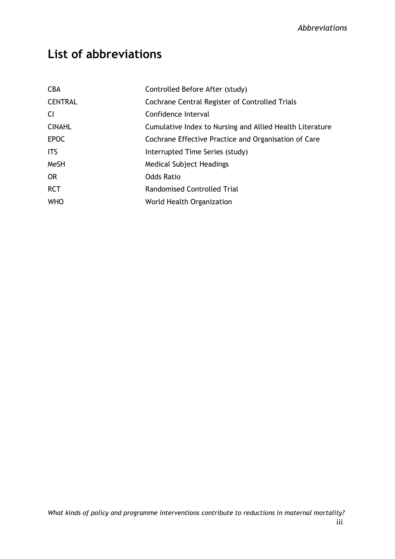# <span id="page-4-0"></span>**List of abbreviations**

| <b>CBA</b>     | Controlled Before After (study)                          |
|----------------|----------------------------------------------------------|
| <b>CENTRAL</b> | Cochrane Central Register of Controlled Trials           |
| <b>CI</b>      | Confidence Interval                                      |
| <b>CINAHL</b>  | Cumulative Index to Nursing and Allied Health Literature |
| <b>EPOC</b>    | Cochrane Effective Practice and Organisation of Care     |
| <b>ITS</b>     | Interrupted Time Series (study)                          |
| MeSH           | Medical Subject Headings                                 |
| <b>OR</b>      | <b>Odds Ratio</b>                                        |
| <b>RCT</b>     | Randomised Controlled Trial                              |
| <b>WHO</b>     | World Health Organization                                |
|                |                                                          |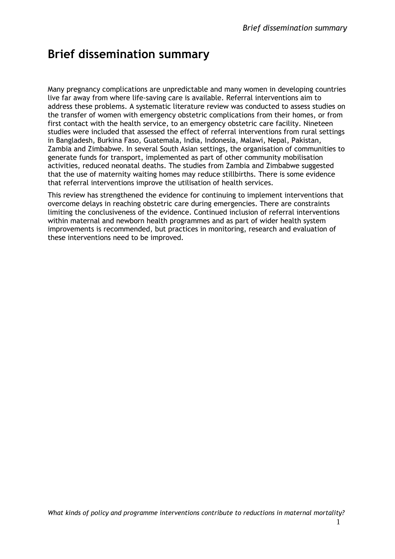# <span id="page-5-0"></span>**Brief dissemination summary**

Many pregnancy complications are unpredictable and many women in developing countries live far away from where life-saving care is available. Referral interventions aim to address these problems. A systematic literature review was conducted to assess studies on the transfer of women with emergency obstetric complications from their homes, or from first contact with the health service, to an emergency obstetric care facility. Nineteen studies were included that assessed the effect of referral interventions from rural settings in Bangladesh, Burkina Faso, Guatemala, India, Indonesia, Malawi, Nepal, Pakistan, Zambia and Zimbabwe. In several South Asian settings, the organisation of communities to generate funds for transport, implemented as part of other community mobilisation activities, reduced neonatal deaths. The studies from Zambia and Zimbabwe suggested that the use of maternity waiting homes may reduce stillbirths. There is some evidence that referral interventions improve the utilisation of health services.

This review has strengthened the evidence for continuing to implement interventions that overcome delays in reaching obstetric care during emergencies. There are constraints limiting the conclusiveness of the evidence. Continued inclusion of referral interventions within maternal and newborn health programmes and as part of wider health system improvements is recommended, but practices in monitoring, research and evaluation of these interventions need to be improved.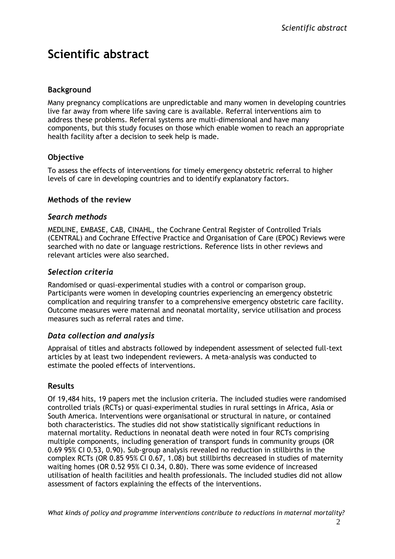# <span id="page-6-0"></span>**Scientific abstract**

# <span id="page-6-1"></span>**Background**

Many pregnancy complications are unpredictable and many women in developing countries live far away from where life saving care is available. Referral interventions aim to address these problems. Referral systems are multi-dimensional and have many components, but this study focuses on those which enable women to reach an appropriate health facility after a decision to seek help is made.

# <span id="page-6-2"></span>**Objective**

To assess the effects of interventions for timely emergency obstetric referral to higher levels of care in developing countries and to identify explanatory factors.

# <span id="page-6-3"></span>**Methods of the review**

#### <span id="page-6-4"></span>*Search methods*

MEDLINE, EMBASE, CAB, CINAHL, the Cochrane Central Register of Controlled Trials (CENTRAL) and Cochrane Effective Practice and Organisation of Care (EPOC) Reviews were searched with no date or language restrictions. Reference lists in other reviews and relevant articles were also searched.

# <span id="page-6-5"></span>*Selection criteria*

Randomised or quasi-experimental studies with a control or comparison group. Participants were women in developing countries experiencing an emergency obstetric complication and requiring transfer to a comprehensive emergency obstetric care facility. Outcome measures were maternal and neonatal mortality, service utilisation and process measures such as referral rates and time.

#### <span id="page-6-6"></span>*Data collection and analysis*

Appraisal of titles and abstracts followed by independent assessment of selected full-text articles by at least two independent reviewers. A meta-analysis was conducted to estimate the pooled effects of interventions.

# <span id="page-6-7"></span>**Results**

Of 19,484 hits, 19 papers met the inclusion criteria. The included studies were randomised controlled trials (RCTs) or quasi-experimental studies in rural settings in Africa, Asia or South America. Interventions were organisational or structural in nature, or contained both characteristics. The studies did not show statistically significant reductions in maternal mortality. Reductions in neonatal death were noted in four RCTs comprising multiple components, including generation of transport funds in community groups (OR 0.69 95% CI 0.53, 0.90). Sub-group analysis revealed no reduction in stillbirths in the complex RCTs (OR 0.85 95% CI 0.67, 1.08) but stillbirths decreased in studies of maternity waiting homes (OR 0.52 95% CI 0.34, 0.80). There was some evidence of increased utilisation of health facilities and health professionals. The included studies did not allow assessment of factors explaining the effects of the interventions.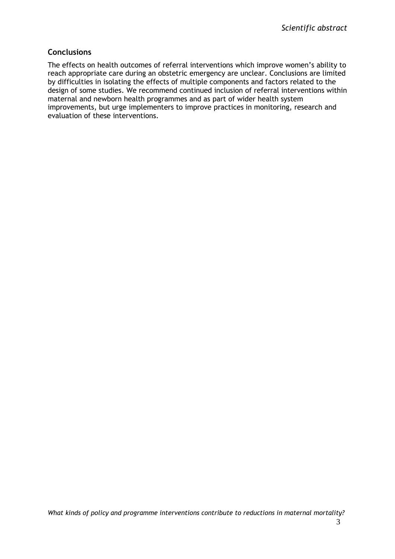### <span id="page-7-0"></span>**Conclusions**

The effects on health outcomes of referral interventions which improve women's ability to reach appropriate care during an obstetric emergency are unclear. Conclusions are limited by difficulties in isolating the effects of multiple components and factors related to the design of some studies. We recommend continued inclusion of referral interventions within maternal and newborn health programmes and as part of wider health system improvements, but urge implementers to improve practices in monitoring, research and evaluation of these interventions.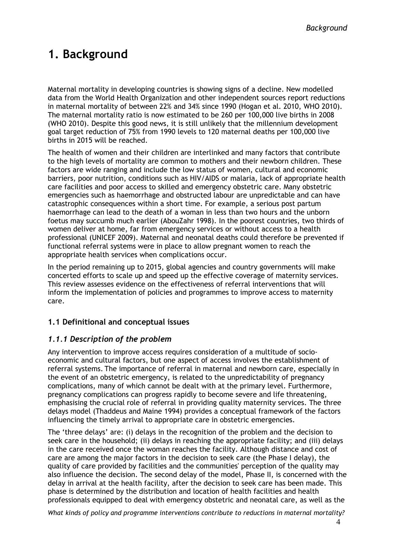# <span id="page-8-0"></span>**1. Background**

Maternal mortality in developing countries is showing signs of a decline. New modelled data from the World Health Organization and other independent sources report reductions in maternal mortality of between 22% and 34% since 1990 (Hogan et al. 2010, WHO 2010). The maternal mortality ratio is now estimated to be 260 per 100,000 live births in 2008 (WHO 2010). Despite this good news, it is still unlikely that the millennium development goal target reduction of 75% from 1990 levels to 120 maternal deaths per 100,000 live births in 2015 will be reached.

The health of women and their children are interlinked and many factors that contribute to the high levels of mortality are common to mothers and their newborn children. These factors are wide ranging and include the low status of women, cultural and economic barriers, poor nutrition, conditions such as HIV/AIDS or malaria, lack of appropriate health care facilities and poor access to skilled and emergency obstetric care. Many obstetric emergencies such as haemorrhage and obstructed labour are unpredictable and can have catastrophic consequences within a short time. For example, a serious post partum haemorrhage can lead to the death of a woman in less than two hours and the unborn foetus may succumb much earlier (AbouZahr 1998). In the poorest countries, two thirds of women deliver at home, far from emergency services or without access to a health professional (UNICEF 2009). Maternal and neonatal deaths could therefore be prevented if functional referral systems were in place to allow pregnant women to reach the appropriate health services when complications occur.

In the period remaining up to 2015, global agencies and country governments will make concerted efforts to scale up and speed up the effective coverage of maternity services. This review assesses evidence on the effectiveness of referral interventions that will inform the implementation of policies and programmes to improve access to maternity care.

# <span id="page-8-1"></span>**1.1 Definitional and conceptual issues**

#### <span id="page-8-2"></span>*1.1.1 Description of the problem*

Any intervention to improve access requires consideration of a multitude of socioeconomic and cultural factors, but one aspect of access involves the establishment of referral systems. The importance of referral in maternal and newborn care, especially in the event of an obstetric emergency, is related to the unpredictability of pregnancy complications, many of which cannot be dealt with at the primary level. Furthermore, pregnancy complications can progress rapidly to become severe and life threatening, emphasising the crucial role of referral in providing quality maternity services. The three delays model (Thaddeus and Maine 1994) provides a conceptual framework of the factors influencing the timely arrival to appropriate care in obstetric emergencies.

The 'three delays' are: (i) delays in the recognition of the problem and the decision to seek care in the household; (ii) delays in reaching the appropriate facility; and (iii) delays in the care received once the woman reaches the facility. Although distance and cost of care are among the major factors in the decision to seek care (the Phase I delay), the quality of care provided by facilities and the communities' perception of the quality may also influence the decision. The second delay of the model, Phase II, is concerned with the delay in arrival at the health facility, after the decision to seek care has been made. This phase is determined by the distribution and location of health facilities and health professionals equipped to deal with emergency obstetric and neonatal care, as well as the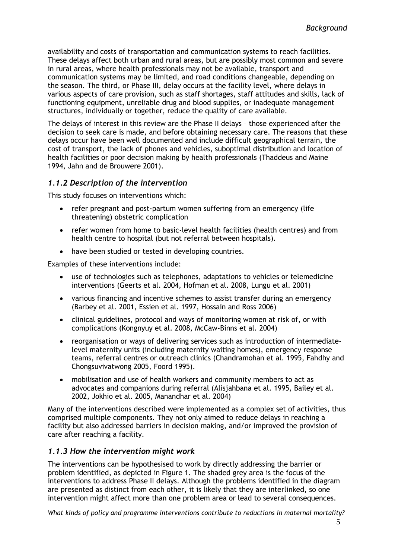availability and costs of transportation and communication systems to reach facilities. These delays affect both urban and rural areas, but are possibly most common and severe in rural areas, where health professionals may not be available, transport and communication systems may be limited, and road conditions changeable, depending on the season. The third, or Phase III, delay occurs at the facility level, where delays in various aspects of care provision, such as staff shortages, staff attitudes and skills, lack of functioning equipment, unreliable drug and blood supplies, or inadequate management structures, individually or together, reduce the quality of care available.

The delays of interest in this review are the Phase II delays – those experienced after the decision to seek care is made, and before obtaining necessary care. The reasons that these delays occur have been well documented and include difficult geographical terrain, the cost of transport, the lack of phones and vehicles, suboptimal distribution and location of health facilities or poor decision making by health professionals (Thaddeus and Maine 1994, Jahn and de Brouwere 2001).

### <span id="page-9-0"></span>*1.1.2 Description of the intervention*

This study focuses on interventions which:

- refer pregnant and post-partum women suffering from an emergency (life threatening) obstetric complication
- refer women from home to basic-level health facilities (health centres) and from health centre to hospital (but not referral between hospitals).
- have been studied or tested in developing countries.

Examples of these interventions include:

- use of technologies such as telephones, adaptations to vehicles or telemedicine interventions (Geerts et al. 2004, Hofman et al. 2008, Lungu et al. 2001)
- various financing and incentive schemes to assist transfer during an emergency (Barbey et al. 2001, Essien et al. 1997, Hossain and Ross 2006)
- clinical guidelines, protocol and ways of monitoring women at risk of, or with complications (Kongnyuy et al. 2008, McCaw-Binns et al. 2004)
- reorganisation or ways of delivering services such as introduction of intermediatelevel maternity units (including maternity waiting homes), emergency response teams, referral centres or outreach clinics (Chandramohan et al. 1995, Fahdhy and Chongsuvivatwong 2005, Foord 1995).
- mobilisation and use of health workers and community members to act as advocates and companions during referral (Alisjahbana et al. 1995, Bailey et al. 2002, Jokhio et al. 2005, Manandhar et al. 2004)

Many of the interventions described were implemented as a complex set of activities, thus comprised multiple components. They not only aimed to reduce delays in reaching a facility but also addressed barriers in decision making, and/or improved the provision of care after reaching a facility.

#### <span id="page-9-1"></span>*1.1.3 How the intervention might work*

The interventions can be hypothesised to work by directly addressing the barrier or problem identified, as depicted in Figure 1. The shaded grey area is the focus of the interventions to address Phase II delays. Although the problems identified in the diagram are presented as distinct from each other, it is likely that they are interlinked, so one intervention might affect more than one problem area or lead to several consequences.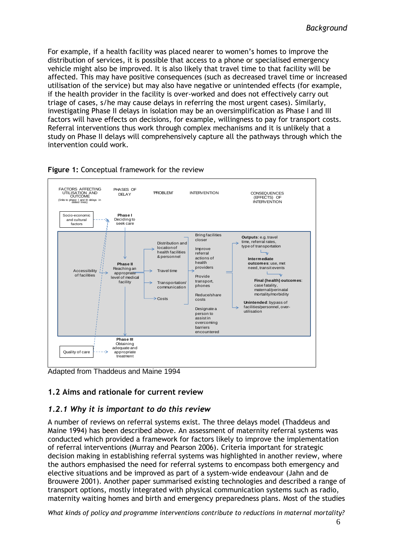For example, if a health facility was placed nearer to women's homes to improve the distribution of services, it is possible that access to a phone or specialised emergency vehicle might also be improved. It is also likely that travel time to that facility will be affected. This may have positive consequences (such as decreased travel time or increased utilisation of the service) but may also have negative or unintended effects (for example, if the health provider in the facility is over-worked and does not effectively carry out triage of cases, s/he may cause delays in referring the most urgent cases). Similarly, investigating Phase II delays in isolation may be an oversimplification as Phase I and III factors will have effects on decisions, for example, willingness to pay for transport costs. Referral interventions thus work through complex mechanisms and it is unlikely that a study on Phase II delays will comprehensively capture all the pathways through which the intervention could work.



#### **Figure 1:** Conceptual framework for the review

<span id="page-10-0"></span>Adapted from Thaddeus and Maine 1994

# **1.2 Aims and rationale for current review**

# <span id="page-10-1"></span>*1.2.1 Why it is important to do this review*

A number of reviews on referral systems exist. The three delays model (Thaddeus and Maine 1994) has been described above. An assessment of maternity referral systems was conducted which provided a framework for factors likely to improve the implementation of referral interventions (Murray and Pearson 2006). Criteria important for strategic decision making in establishing referral systems was highlighted in another review, where the authors emphasised the need for referral systems to encompass both emergency and elective situations and be improved as part of a system-wide endeavour (Jahn and de Brouwere 2001). Another paper summarised existing technologies and described a range of transport options, mostly integrated with physical communication systems such as radio, maternity waiting homes and birth and emergency preparedness plans. Most of the studies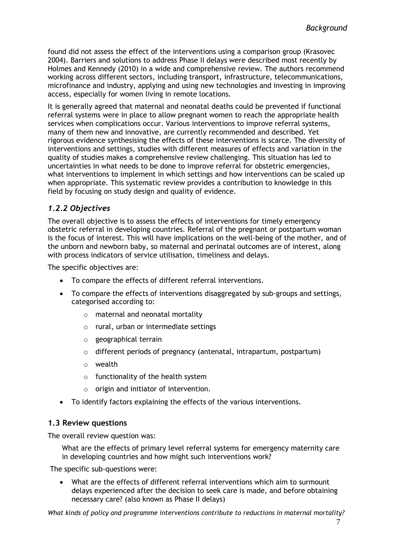found did not assess the effect of the interventions using a comparison group (Krasovec 2004). Barriers and solutions to address Phase II delays were described most recently by Holmes and Kennedy (2010) in a wide and comprehensive review. The authors recommend working across different sectors, including transport, infrastructure, telecommunications, microfinance and industry, applying and using new technologies and investing in improving access, especially for women living in remote locations.

It is generally agreed that maternal and neonatal deaths could be prevented if functional referral systems were in place to allow pregnant women to reach the appropriate health services when complications occur. Various interventions to improve referral systems, many of them new and innovative, are currently recommended and described. Yet rigorous evidence synthesising the effects of these interventions is scarce. The diversity of interventions and settings, studies with different measures of effects and variation in the quality of studies makes a comprehensive review challenging. This situation has led to uncertainties in what needs to be done to improve referral for obstetric emergencies, what interventions to implement in which settings and how interventions can be scaled up when appropriate. This systematic review provides a contribution to knowledge in this field by focusing on study design and quality of evidence.

# <span id="page-11-0"></span>*1.2.2 Objectives*

The overall objective is to assess the effects of interventions for timely emergency obstetric referral in developing countries. Referral of the pregnant or postpartum woman is the focus of interest. This will have implications on the well-being of the mother, and of the unborn and newborn baby, so maternal and perinatal outcomes are of interest, along with process indicators of service utilisation, timeliness and delays.

The specific objectives are:

- To compare the effects of different referral interventions.
- To compare the effects of interventions disaggregated by sub-groups and settings, categorised according to:
	- o maternal and neonatal mortality
	- o rural, urban or intermediate settings
	- o geographical terrain
	- o different periods of pregnancy (antenatal, intrapartum, postpartum)
	- o wealth
	- $\circ$  functionality of the health system
	- o origin and initiator of intervention.
- To identify factors explaining the effects of the various interventions.

#### <span id="page-11-1"></span>**1.3 Review questions**

The overall review question was:

What are the effects of primary level referral systems for emergency maternity care in developing countries and how might such interventions work?

The specific sub-questions were:

 What are the effects of different referral interventions which aim to surmount delays experienced after the decision to seek care is made, and before obtaining necessary care? (also known as Phase II delays)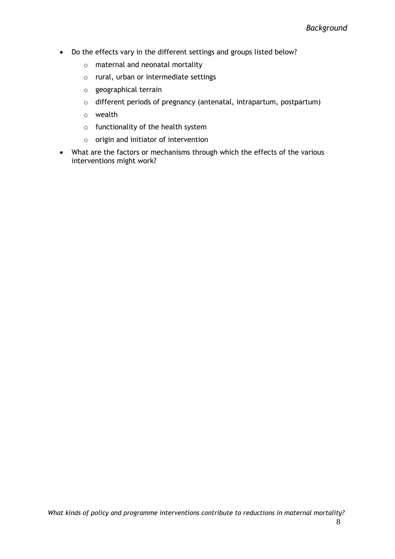- Do the effects vary in the different settings and groups listed below?
	- o maternal and neonatal mortality
	- o rural, urban or intermediate settings
	- o geographical terrain
	- o different periods of pregnancy (antenatal, intrapartum, postpartum)
	- o wealth
	- $\circ$  functionality of the health system
	- o origin and initiator of intervention
- What are the factors or mechanisms through which the effects of the various interventions might work?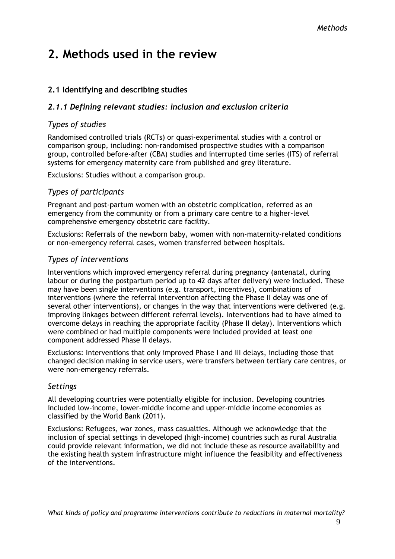# <span id="page-13-0"></span>**2. Methods used in the review**

# <span id="page-13-1"></span>**2.1 Identifying and describing studies**

### <span id="page-13-2"></span>*2.1.1 Defining relevant studies: inclusion and exclusion criteria*

### *Types of studies*

Randomised controlled trials (RCTs) or quasi-experimental studies with a control or comparison group, including: non-randomised prospective studies with a comparison group, controlled before-after (CBA) studies and interrupted time series (ITS) of referral systems for emergency maternity care from published and grey literature.

Exclusions: Studies without a comparison group.

#### *Types of participants*

Pregnant and post-partum women with an obstetric complication, referred as an emergency from the community or from a primary care centre to a higher-level comprehensive emergency obstetric care facility.

Exclusions: Referrals of the newborn baby, women with non-maternity-related conditions or non-emergency referral cases, women transferred between hospitals.

### *Types of interventions*

Interventions which improved emergency referral during pregnancy (antenatal, during labour or during the postpartum period up to 42 days after delivery) were included. These may have been single interventions (e.g. transport, incentives), combinations of interventions (where the referral intervention affecting the Phase II delay was one of several other interventions), or changes in the way that interventions were delivered (e.g. improving linkages between different referral levels). Interventions had to have aimed to overcome delays in reaching the appropriate facility (Phase II delay). Interventions which were combined or had multiple components were included provided at least one component addressed Phase II delays.

Exclusions: Interventions that only improved Phase I and III delays, including those that changed decision making in service users, were transfers between tertiary care centres, or were non-emergency referrals.

#### *Settings*

All developing countries were potentially eligible for inclusion. Developing countries included low-income, lower-middle income and upper-middle income economies as classified by the World Bank (2011).

Exclusions: Refugees, war zones, mass casualties. Although we acknowledge that the inclusion of special settings in developed (high-income) countries such as rural Australia could provide relevant information, we did not include these as resource availability and the existing health system infrastructure might influence the feasibility and effectiveness of the interventions.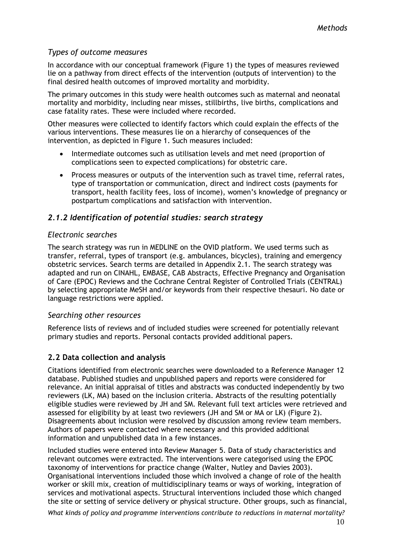#### *Types of outcome measures*

In accordance with our conceptual framework (Figure 1) the types of measures reviewed lie on a pathway from direct effects of the intervention (outputs of intervention) to the final desired health outcomes of improved mortality and morbidity.

The primary outcomes in this study were health outcomes such as maternal and neonatal mortality and morbidity, including near misses, stillbirths, live births, complications and case fatality rates. These were included where recorded.

Other measures were collected to identify factors which could explain the effects of the various interventions. These measures lie on a hierarchy of consequences of the intervention, as depicted in Figure 1. Such measures included:

- Intermediate outcomes such as utilisation levels and met need (proportion of complications seen to expected complications) for obstetric care.
- Process measures or outputs of the intervention such as travel time, referral rates, type of transportation or communication, direct and indirect costs (payments for transport, health facility fees, loss of income), women's knowledge of pregnancy or postpartum complications and satisfaction with intervention.

### <span id="page-14-0"></span>*2.1.2 Identification of potential studies: search strategy*

#### *Electronic searches*

The search strategy was run in MEDLINE on the OVID platform. We used terms such as transfer, referral, types of transport (e.g. ambulances, bicycles), training and emergency obstetric services. Search terms are detailed in Appendix 2.1. The search strategy was adapted and run on CINAHL, EMBASE, CAB Abstracts, Effective Pregnancy and Organisation of Care (EPOC) Reviews and the Cochrane Central Register of Controlled Trials (CENTRAL) by selecting appropriate MeSH and/or keywords from their respective thesauri. No date or language restrictions were applied.

#### *Searching other resources*

Reference lists of reviews and of included studies were screened for potentially relevant primary studies and reports. Personal contacts provided additional papers.

#### <span id="page-14-1"></span>**2.2 Data collection and analysis**

Citations identified from electronic searches were downloaded to a Reference Manager 12 database. Published studies and unpublished papers and reports were considered for relevance. An initial appraisal of titles and abstracts was conducted independently by two reviewers (LK, MA) based on the inclusion criteria. Abstracts of the resulting potentially eligible studies were reviewed by JH and SM. Relevant full text articles were retrieved and assessed for eligibility by at least two reviewers (JH and SM or MA or LK) (Figure 2). Disagreements about inclusion were resolved by discussion among review team members. Authors of papers were contacted where necessary and this provided additional information and unpublished data in a few instances.

Included studies were entered into Review Manager 5. Data of study characteristics and relevant outcomes were extracted. The interventions were categorised using the EPOC taxonomy of interventions for practice change (Walter, Nutley and Davies 2003). Organisational interventions included those which involved a change of role of the health worker or skill mix, creation of multidisciplinary teams or ways of working, integration of services and motivational aspects. Structural interventions included those which changed the site or setting of service delivery or physical structure. Other groups, such as financial,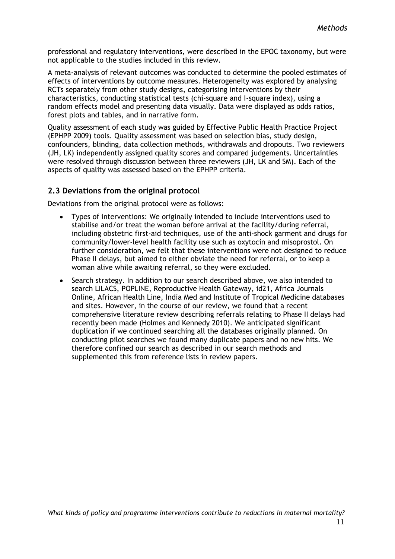professional and regulatory interventions, were described in the EPOC taxonomy, but were not applicable to the studies included in this review.

A meta-analysis of relevant outcomes was conducted to determine the pooled estimates of effects of interventions by outcome measures. Heterogeneity was explored by analysing RCTs separately from other study designs, categorising interventions by their characteristics, conducting statistical tests (chi-square and I-square index), using a random effects model and presenting data visually. Data were displayed as odds ratios, forest plots and tables, and in narrative form.

Quality assessment of each study was guided by Effective Public Health Practice Project (EPHPP 2009) tools. Quality assessment was based on selection bias, study design, confounders, blinding, data collection methods, withdrawals and dropouts. Two reviewers (JH, LK) independently assigned quality scores and compared judgements. Uncertainties were resolved through discussion between three reviewers (JH, LK and SM). Each of the aspects of quality was assessed based on the EPHPP criteria.

### <span id="page-15-0"></span>**2.3 Deviations from the original protocol**

Deviations from the original protocol were as follows:

- Types of interventions: We originally intended to include interventions used to stabilise and/or treat the woman before arrival at the facility/during referral, including obstetric first-aid techniques, use of the anti-shock garment and drugs for community/lower-level health facility use such as oxytocin and misoprostol. On further consideration, we felt that these interventions were not designed to reduce Phase II delays, but aimed to either obviate the need for referral, or to keep a woman alive while awaiting referral, so they were excluded.
- Search strategy. In addition to our search described above, we also intended to search LILACS, POPLINE, Reproductive Health Gateway, id21, Africa Journals Online, African Health Line, India Med and Institute of Tropical Medicine databases and sites. However, in the course of our review, we found that a recent comprehensive literature review describing referrals relating to Phase II delays had recently been made (Holmes and Kennedy 2010). We anticipated significant duplication if we continued searching all the databases originally planned. On conducting pilot searches we found many duplicate papers and no new hits. We therefore confined our search as described in our search methods and supplemented this from reference lists in review papers.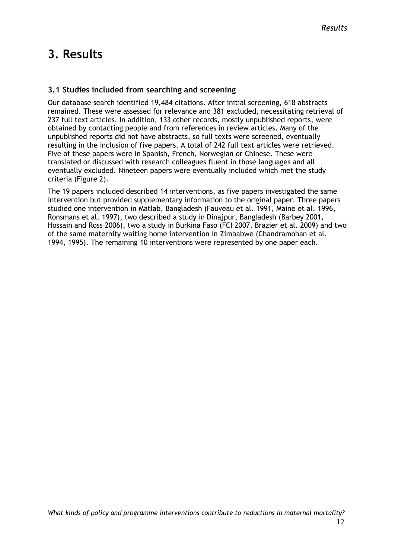# <span id="page-16-0"></span>**3. Results**

#### <span id="page-16-1"></span>**3.1 Studies included from searching and screening**

Our database search identified 19,484 citations. After initial screening, 618 abstracts remained. These were assessed for relevance and 381 excluded, necessitating retrieval of 237 full text articles. In addition, 133 other records, mostly unpublished reports, were obtained by contacting people and from references in review articles. Many of the unpublished reports did not have abstracts, so full texts were screened, eventually resulting in the inclusion of five papers. A total of 242 full text articles were retrieved. Five of these papers were in Spanish, French, Norwegian or Chinese. These were translated or discussed with research colleagues fluent in those languages and all eventually excluded. Nineteen papers were eventually included which met the study criteria (Figure 2).

The 19 papers included described 14 interventions, as five papers investigated the same intervention but provided supplementary information to the original paper. Three papers studied one intervention in Matlab, Bangladesh (Fauveau et al. 1991, Maine et al. 1996, Ronsmans et al. 1997), two described a study in Dinajpur, Bangladesh (Barbey 2001, Hossain and Ross 2006), two a study in Burkina Faso (FCI 2007, Brazier et al. 2009) and two of the same maternity waiting home intervention in Zimbabwe (Chandramohan et al. 1994, 1995). The remaining 10 interventions were represented by one paper each.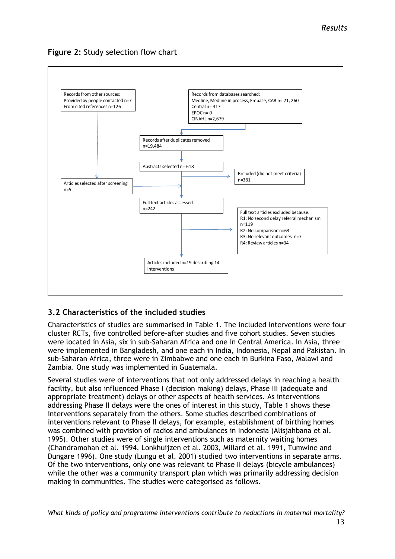

### **Figure 2:** Study selection flow chart

# <span id="page-17-0"></span>**3.2 Characteristics of the included studies**

Characteristics of studies are summarised in Table 1. The included interventions were four cluster RCTs, five controlled before-after studies and five cohort studies. Seven studies were located in Asia, six in sub-Saharan Africa and one in Central America. In Asia, three were implemented in Bangladesh, and one each in India, Indonesia, Nepal and Pakistan. In sub-Saharan Africa, three were in Zimbabwe and one each in Burkina Faso, Malawi and Zambia. One study was implemented in Guatemala.

Several studies were of interventions that not only addressed delays in reaching a health facility, but also influenced Phase I (decision making) delays, Phase III (adequate and appropriate treatment) delays or other aspects of health services. As interventions addressing Phase II delays were the ones of interest in this study, Table 1 shows these interventions separately from the others. Some studies described combinations of interventions relevant to Phase II delays, for example, establishment of birthing homes was combined with provision of radios and ambulances in Indonesia (Alisjahbana et al. 1995). Other studies were of single interventions such as maternity waiting homes (Chandramohan et al. 1994, Lonkhuijzen et al. 2003, Millard et al. 1991, Tumwine and Dungare 1996). One study (Lungu et al. 2001) studied two interventions in separate arms. Of the two interventions, only one was relevant to Phase II delays (bicycle ambulances) while the other was a community transport plan which was primarily addressing decision making in communities. The studies were categorised as follows.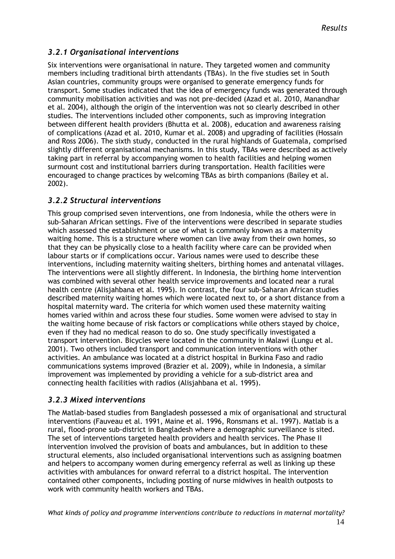# <span id="page-18-0"></span>*3.2.1 Organisational interventions*

Six interventions were organisational in nature. They targeted women and community members including traditional birth attendants (TBAs). In the five studies set in South Asian countries, community groups were organised to generate emergency funds for transport. Some studies indicated that the idea of emergency funds was generated through community mobilisation activities and was not pre-decided (Azad et al. 2010, Manandhar et al. 2004), although the origin of the intervention was not so clearly described in other studies. The interventions included other components, such as improving integration between different health providers (Bhutta et al. 2008), education and awareness raising of complications (Azad et al. 2010, Kumar et al. 2008) and upgrading of facilities (Hossain and Ross 2006). The sixth study, conducted in the rural highlands of Guatemala, comprised slightly different organisational mechanisms. In this study, TBAs were described as actively taking part in referral by accompanying women to health facilities and helping women surmount cost and institutional barriers during transportation. Health facilities were encouraged to change practices by welcoming TBAs as birth companions (Bailey et al. 2002).

#### <span id="page-18-1"></span>*3.2.2 Structural interventions*

This group comprised seven interventions, one from Indonesia, while the others were in sub-Saharan African settings. Five of the interventions were described in separate studies which assessed the establishment or use of what is commonly known as a maternity waiting home. This is a structure where women can live away from their own homes, so that they can be physically close to a health facility where care can be provided when labour starts or if complications occur. Various names were used to describe these interventions, including maternity waiting shelters, birthing homes and antenatal villages. The interventions were all slightly different. In Indonesia, the birthing home intervention was combined with several other health service improvements and located near a rural health centre (Alisjahbana et al. 1995). In contrast, the four sub-Saharan African studies described maternity waiting homes which were located next to, or a short distance from a hospital maternity ward. The criteria for which women used these maternity waiting homes varied within and across these four studies. Some women were advised to stay in the waiting home because of risk factors or complications while others stayed by choice, even if they had no medical reason to do so. One study specifically investigated a transport intervention. Bicycles were located in the community in Malawi (Lungu et al. 2001). Two others included transport and communication interventions with other activities. An ambulance was located at a district hospital in Burkina Faso and radio communications systems improved (Brazier et al. 2009), while in Indonesia, a similar improvement was implemented by providing a vehicle for a sub-district area and connecting health facilities with radios (Alisjahbana et al. 1995).

#### <span id="page-18-2"></span>*3.2.3 Mixed interventions*

The Matlab-based studies from Bangladesh possessed a mix of organisational and structural interventions (Fauveau et al. 1991, Maine et al. 1996, Ronsmans et al. 1997). Matlab is a rural, flood-prone sub-district in Bangladesh where a demographic surveillance is sited. The set of interventions targeted health providers and health services. The Phase II intervention involved the provision of boats and ambulances, but in addition to these structural elements, also included organisational interventions such as assigning boatmen and helpers to accompany women during emergency referral as well as linking up these activities with ambulances for onward referral to a district hospital. The intervention contained other components, including posting of nurse midwives in health outposts to work with community health workers and TBAs.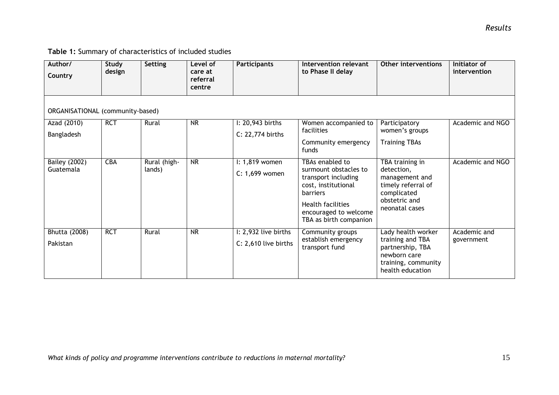# **Table 1:** Summary of characteristics of included studies

| Author/<br>Country                | Study<br>design | Setting                | Level of<br>care at<br>referral<br>centre | <b>Participants</b>                          | <b>Intervention relevant</b><br>to Phase II delay                                                                                                                                        | Other interventions                                                                                                     | Initiator of<br>intervention |
|-----------------------------------|-----------------|------------------------|-------------------------------------------|----------------------------------------------|------------------------------------------------------------------------------------------------------------------------------------------------------------------------------------------|-------------------------------------------------------------------------------------------------------------------------|------------------------------|
| ORGANISATIONAL (community-based)  |                 |                        |                                           |                                              |                                                                                                                                                                                          |                                                                                                                         |                              |
| Azad (2010)                       | <b>RCT</b>      | Rural                  | <b>NR</b>                                 | I: 20,943 births                             | Women accompanied to<br>facilities                                                                                                                                                       | Participatory<br>women's groups                                                                                         | Academic and NGO             |
| Bangladesh                        |                 |                        |                                           | C: 22,774 births                             | Community emergency<br>funds                                                                                                                                                             | <b>Training TBAs</b>                                                                                                    |                              |
| <b>Bailey (2002)</b><br>Guatemala | <b>CBA</b>      | Rural (high-<br>lands) | $\overline{\text{NR}}$                    | I: 1,819 women<br>C: 1,699 women             | TBAs enabled to<br>surmount obstacles to<br>transport including<br>cost, institutional<br><b>barriers</b><br><b>Health facilities</b><br>encouraged to welcome<br>TBA as birth companion | TBA training in<br>detection,<br>management and<br>timely referral of<br>complicated<br>obstetric and<br>neonatal cases | Academic and NGO             |
| Bhutta (2008)<br>Pakistan         | <b>RCT</b>      | Rural                  | $\overline{\mathsf{NR}}$                  | I: 2,932 live births<br>C: 2,610 live births | Community groups<br>establish emergency<br>transport fund                                                                                                                                | Lady health worker<br>training and TBA<br>partnership, TBA<br>newborn care<br>training, community<br>health education   | Academic and<br>government   |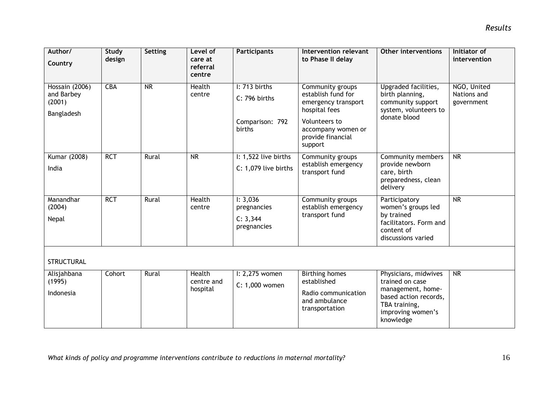| Author/<br>Country                                   | <b>Study</b><br>design | Setting                | Level of<br>care at<br>referral<br>centre | <b>Participants</b>                                         | Intervention relevant<br>to Phase II delay                                                                                                            | <b>Other interventions</b>                                                                                                               | Initiator of<br>intervention             |
|------------------------------------------------------|------------------------|------------------------|-------------------------------------------|-------------------------------------------------------------|-------------------------------------------------------------------------------------------------------------------------------------------------------|------------------------------------------------------------------------------------------------------------------------------------------|------------------------------------------|
| Hossain (2006)<br>and Barbey<br>(2001)<br>Bangladesh | <b>CBA</b>             | $\overline{\text{NR}}$ | <b>Health</b><br>centre                   | I: 713 births<br>C: 796 births<br>Comparison: 792<br>births | Community groups<br>establish fund for<br>emergency transport<br>hospital fees<br>Volunteers to<br>accompany women or<br>provide financial<br>support | Upgraded facilities,<br>birth planning,<br>community support<br>system, volunteers to<br>donate blood                                    | NGO, United<br>Nations and<br>government |
| Kumar (2008)<br>India                                | <b>RCT</b>             | Rural                  | <b>NR</b>                                 | I: 1,522 live births<br>C: 1,079 live births                | Community groups<br>establish emergency<br>transport fund                                                                                             | Community members<br>provide newborn<br>care, birth<br>preparedness, clean<br>delivery                                                   | NR                                       |
| Manandhar<br>(2004)<br>Nepal                         | <b>RCT</b>             | Rural                  | <b>Health</b><br>centre                   | 1: 3,036<br>pregnancies<br>C: 3,344<br>pregnancies          | Community groups<br>establish emergency<br>transport fund                                                                                             | Participatory<br>women's groups led<br>by trained<br>facilitators. Form and<br>content of<br>discussions varied                          | $\overline{\text{NR}}$                   |
| <b>STRUCTURAL</b>                                    |                        |                        |                                           |                                                             |                                                                                                                                                       |                                                                                                                                          |                                          |
| Alisjahbana<br>(1995)<br>Indonesia                   | Cohort                 | Rural                  | <b>Health</b><br>centre and<br>hospital   | $l: 2,275$ women<br>C: 1,000 women                          | <b>Birthing homes</b><br>established<br>Radio communication<br>and ambulance<br>transportation                                                        | Physicians, midwives<br>trained on case<br>management, home-<br>based action records,<br>TBA training,<br>improving women's<br>knowledge | $\overline{\text{NR}}$                   |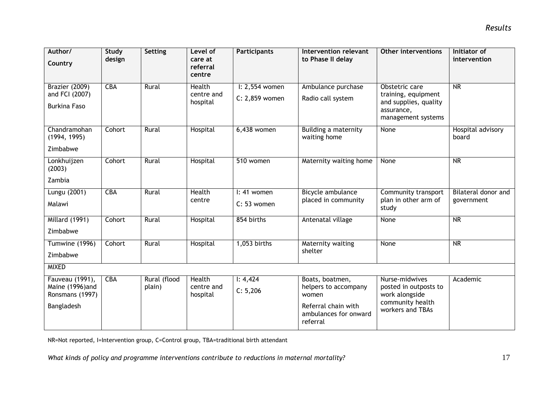| Author/<br>Country                                                  | Study<br>design | Setting                | Level of<br>care at<br>referral<br>centre | <b>Participants</b>                | <b>Intervention relevant</b><br>to Phase II delay                                                            | <b>Other interventions</b>                                                                         | Initiator of<br>intervention      |
|---------------------------------------------------------------------|-----------------|------------------------|-------------------------------------------|------------------------------------|--------------------------------------------------------------------------------------------------------------|----------------------------------------------------------------------------------------------------|-----------------------------------|
| <b>Brazier (2009)</b><br>and FCI (2007)<br><b>Burkina Faso</b>      | <b>CBA</b>      | Rural                  | <b>Health</b><br>centre and<br>hospital   | $l: 2,554$ women<br>C: 2,859 women | Ambulance purchase<br>Radio call system                                                                      | Obstetric care<br>training, equipment<br>and supplies, quality<br>assurance,<br>management systems | $\overline{\text{NR}}$            |
| Chandramohan<br>(1994, 1995)<br>Zimbabwe                            | Cohort          | Rural                  | Hospital                                  | 6,438 women                        | Building a maternity<br>waiting home                                                                         | None                                                                                               | Hospital advisory<br>board        |
| Lonkhuijzen<br>(2003)<br>Zambia                                     | Cohort          | Rural                  | Hospital                                  | 510 women                          | Maternity waiting home                                                                                       | None                                                                                               | NR                                |
| Lungu (2001)<br>Malawi                                              | <b>CBA</b>      | Rural                  | <b>Health</b><br>centre                   | $l: 41$ women<br>C: 53 women       | Bicycle ambulance<br>placed in community                                                                     | Community transport<br>plan in other arm of<br>study                                               | Bilateral donor and<br>government |
| <b>Millard (1991)</b><br>Zimbabwe                                   | Cohort          | Rural                  | Hospital                                  | 854 births                         | Antenatal village                                                                                            | None                                                                                               | $\overline{\text{NR}}$            |
| Tumwine (1996)<br>Zimbabwe                                          | Cohort          | Rural                  | Hospital                                  | 1,053 births                       | <b>Maternity waiting</b><br>shelter                                                                          | None                                                                                               | NR                                |
| <b>MIXED</b>                                                        |                 |                        |                                           |                                    |                                                                                                              |                                                                                                    |                                   |
| Fauveau (1991),<br>Maine (1996)and<br>Ronsmans (1997)<br>Bangladesh | <b>CBA</b>      | Rural (flood<br>plain) | <b>Health</b><br>centre and<br>hospital   | 1: 4,424<br>C: 5,206               | Boats, boatmen,<br>helpers to accompany<br>women<br>Referral chain with<br>ambulances for onward<br>referral | Nurse-midwives<br>posted in outposts to<br>work alongside<br>community health<br>workers and TBAs  | Academic                          |

NR=Not reported, I=Intervention group, C=Control group, TBA=traditional birth attendant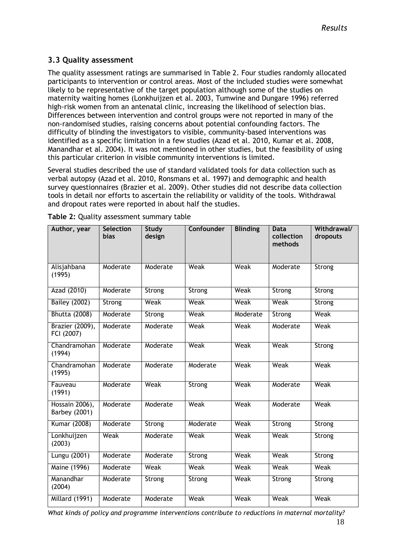### <span id="page-22-0"></span>**3.3 Quality assessment**

The quality assessment ratings are summarised in Table 2. Four studies randomly allocated participants to intervention or control areas. Most of the included studies were somewhat likely to be representative of the target population although some of the studies on maternity waiting homes (Lonkhuijzen et al. 2003, Tumwine and Dungare 1996) referred high-risk women from an antenatal clinic, increasing the likelihood of selection bias. Differences between intervention and control groups were not reported in many of the non-randomised studies, raising concerns about potential confounding factors. The difficulty of blinding the investigators to visible, community-based interventions was identified as a specific limitation in a few studies (Azad et al. 2010, Kumar et al. 2008, Manandhar et al. 2004). It was not mentioned in other studies, but the feasibility of using this particular criterion in visible community interventions is limited.

Several studies described the use of standard validated tools for data collection such as verbal autopsy (Azad et al. 2010, Ronsmans et al. 1997) and demographic and health survey questionnaires (Brazier et al. 2009). Other studies did not describe data collection tools in detail nor efforts to ascertain the reliability or validity of the tools. Withdrawal and dropout rates were reported in about half the studies.

| Author, year                    | <b>Selection</b><br><b>bias</b> | <b>Study</b><br>design | <b>Confounder</b> | <b>Blinding</b> | Data<br>collection<br>methods | Withdrawal/<br>dropouts |
|---------------------------------|---------------------------------|------------------------|-------------------|-----------------|-------------------------------|-------------------------|
| Alisjahbana<br>(1995)           | Moderate                        | Moderate               | Weak              | Weak            | Moderate                      | Strong                  |
| Azad (2010)                     | Moderate                        | Strong                 | Strong            | Weak            | Strong                        | Strong                  |
| <b>Bailey (2002)</b>            | Strong                          | Weak                   | Weak              | Weak            | Weak                          | Strong                  |
| <b>Bhutta (2008)</b>            | Moderate                        | Strong                 | Weak              | Moderate        | Strong                        | Weak                    |
| Brazier (2009),<br>FCI (2007)   | Moderate                        | Moderate               | Weak              | Weak            | Moderate                      | Weak                    |
| Chandramohan<br>(1994)          | Moderate                        | Moderate               | Weak              | Weak            | Weak                          | Strong                  |
| Chandramohan<br>(1995)          | Moderate                        | Moderate               | Moderate          | Weak            | Weak                          | Weak                    |
| Fauveau<br>(1991)               | Moderate                        | Weak                   | Strong            | Weak            | Moderate                      | Weak                    |
| Hossain 2006),<br>Barbey (2001) | Moderate                        | Moderate               | Weak              | Weak            | Moderate                      | Weak                    |
| Kumar (2008)                    | Moderate                        | Strong                 | Moderate          | Weak            | Strong                        | Strong                  |
| Lonkhuijzen<br>(2003)           | Weak                            | Moderate               | Weak              | Weak            | Weak                          | Strong                  |
| Lungu (2001)                    | Moderate                        | Moderate               | Strong            | Weak            | Weak                          | Strong                  |
| Maine (1996)                    | Moderate                        | Weak                   | Weak              | Weak            | Weak                          | Weak                    |
| Manandhar<br>(2004)             | Moderate                        | Strong                 | Strong            | Weak            | Strong                        | Strong                  |
| Millard (1991)                  | Moderate                        | Moderate               | Weak              | Weak            | Weak                          | Weak                    |

**Table 2:** Quality assessment summary table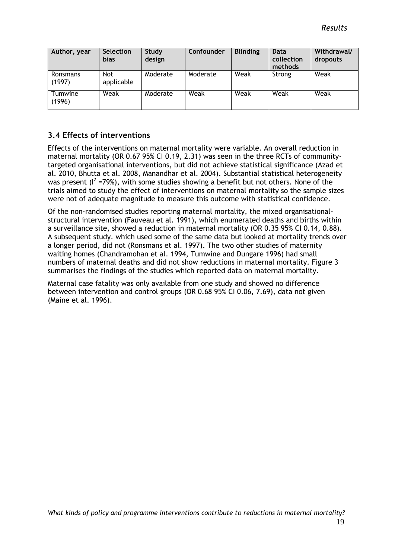| Author, year       | <b>Selection</b><br><b>bias</b> | <b>Study</b><br>design | Confounder | <b>Blinding</b> | <b>Data</b><br>collection<br>methods | Withdrawal/<br>dropouts |
|--------------------|---------------------------------|------------------------|------------|-----------------|--------------------------------------|-------------------------|
| Ronsmans<br>(1997) | Not<br>applicable               | Moderate               | Moderate   | Weak            | Strong                               | Weak                    |
| Tumwine<br>(1996)  | Weak                            | Moderate               | Weak       | Weak            | Weak                                 | Weak                    |

# <span id="page-23-0"></span>**3.4 Effects of interventions**

Effects of the interventions on maternal mortality were variable. An overall reduction in maternal mortality (OR 0.67 95% CI 0.19, 2.31) was seen in the three RCTs of communitytargeted organisational interventions, but did not achieve statistical significance (Azad et al. 2010, Bhutta et al. 2008, Manandhar et al. 2004). Substantial statistical heterogeneity was present ( $l^2$  =79%), with some studies showing a benefit but not others. None of the trials aimed to study the effect of interventions on maternal mortality so the sample sizes were not of adequate magnitude to measure this outcome with statistical confidence.

Of the non-randomised studies reporting maternal mortality, the mixed organisationalstructural intervention (Fauveau et al. 1991), which enumerated deaths and births within a surveillance site, showed a reduction in maternal mortality (OR 0.35 95% CI 0.14, 0.88). A subsequent study. which used some of the same data but looked at mortality trends over a longer period, did not (Ronsmans et al. 1997). The two other studies of maternity waiting homes (Chandramohan et al. 1994, Tumwine and Dungare 1996) had small numbers of maternal deaths and did not show reductions in maternal mortality. Figure 3 summarises the findings of the studies which reported data on maternal mortality.

Maternal case fatality was only available from one study and showed no difference between intervention and control groups (OR 0.68 95% CI 0.06, 7.69), data not given (Maine et al. 1996).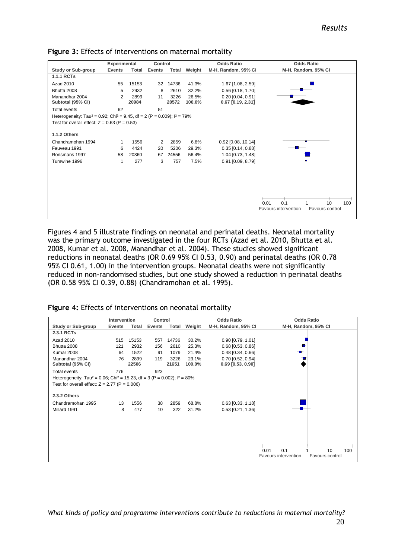|                                                                                                                                                    | <b>Odds Ratio</b><br>Experimental<br>Control |               |        |               | <b>Odds Ratio</b> |                                              |                                         |
|----------------------------------------------------------------------------------------------------------------------------------------------------|----------------------------------------------|---------------|--------|---------------|-------------------|----------------------------------------------|-----------------------------------------|
| <b>Study or Sub-group</b>                                                                                                                          | <b>Events</b>                                | <b>Total</b>  | Events | Total         | Weight            | M-H, Random, 95% CI                          | M-H, Random, 95% CI                     |
| <b>1.1.1 RCTs</b>                                                                                                                                  |                                              |               |        |               |                   |                                              |                                         |
| Azad 2010                                                                                                                                          | 55                                           | 15153         | 32     | 14736         | 41.3%             | 1.67 [1.08, 2.59]                            |                                         |
| Bhutta 2008                                                                                                                                        | 5                                            | 2932          | 8      | 2610          | 32.2%             | $0.56$ [0.18, 1.70]                          |                                         |
| Manandhar 2004<br>Subtotal (95% CI)                                                                                                                | 2                                            | 2899<br>20984 | 11     | 3226<br>20572 | 26.5%<br>100.0%   | $0.20$ $[0.04, 0.91]$<br>$0.67$ [0.19, 2.31] |                                         |
| Total events                                                                                                                                       | 62                                           |               | 51     |               |                   |                                              |                                         |
| Heterogeneity: Tau <sup>2</sup> = 0.92; Chi <sup>2</sup> = 9.45, df = 2 (P = 0.009); $1^2$ = 79%<br>Test for overall effect: $Z = 0.63$ (P = 0.53) |                                              |               |        |               |                   |                                              |                                         |
| <b>1.1.2 Others</b>                                                                                                                                |                                              |               |        |               |                   |                                              |                                         |
| Chandramohan 1994                                                                                                                                  | 1                                            | 1556          | 2      | 2859          | 6.8%              | $0.92$ [0.08, 10.14]                         |                                         |
| Fauveau 1991                                                                                                                                       | 6                                            | 4424          | 20     | 5206          | 29.3%             | $0.35$ $[0.14, 0.88]$                        |                                         |
| Ronsmans 1997                                                                                                                                      | 58                                           | 20360         | 67     | 24556         | 56.4%             | 1.04 [0.73, 1.48]                            |                                         |
| Tumwine 1996                                                                                                                                       | 1                                            | 277           | 3      | 757           | 7.5%              | 0.91 [0.09, 8.79]                            |                                         |
|                                                                                                                                                    |                                              |               |        |               |                   |                                              |                                         |
|                                                                                                                                                    |                                              |               |        |               |                   |                                              |                                         |
|                                                                                                                                                    |                                              |               |        |               |                   |                                              |                                         |
|                                                                                                                                                    |                                              |               |        |               |                   |                                              | 0.1<br>10<br>0.01<br>100                |
|                                                                                                                                                    |                                              |               |        |               |                   |                                              | Favours intervention<br>Favours control |

**Figure 3:** Effects of interventions on maternal mortality

Figures 4 and 5 illustrate findings on neonatal and perinatal deaths. Neonatal mortality was the primary outcome investigated in the four RCTs (Azad et al. 2010, Bhutta et al. 2008, Kumar et al. 2008, Manandhar et al. 2004). These studies showed significant reductions in neonatal deaths (OR 0.69 95% CI 0.53, 0.90) and perinatal deaths (OR 0.78 95% CI 0.61, 1.00) in the intervention groups. Neonatal deaths were not significantly reduced in non-randomised studies, but one study showed a reduction in perinatal deaths (OR 0.58 95% CI 0.39, 0.88) (Chandramohan et al. 1995).

**Figure 4:** Effects of interventions on neonatal mortality

|                                                                                                    | Intervention  |               | Control |               |                 | <b>Odds Ratio</b>                        | <b>Odds Ratio</b>                       |
|----------------------------------------------------------------------------------------------------|---------------|---------------|---------|---------------|-----------------|------------------------------------------|-----------------------------------------|
| <b>Study or Sub-group</b>                                                                          | <b>Events</b> | Total         | Events  | Total         | Weight          | M-H, Random, 95% CI                      | M-H, Random, 95% CI                     |
| 2.3.1 RCTs                                                                                         |               |               |         |               |                 |                                          |                                         |
| Azad 2010                                                                                          | 515           | 15153         | 557     | 14736         | 30.2%           | $0.90$ [0.79, 1.01]                      |                                         |
| Bhutta 2008                                                                                        | 121           | 2932          | 156     | 2610          | 25.3%           | $0.68$ [0.53, 0.86]                      |                                         |
| Kumar 2008                                                                                         | 64            | 1522          | 91      | 1079          | 21.4%           | $0.48$ [0.34, 0.66]                      |                                         |
| Manandhar 2004<br>Subtotal (95% CI)                                                                | 76            | 2899<br>22506 | 119     | 3226<br>21651 | 23.1%<br>100.0% | 0.70 [0.52, 0.94]<br>$0.69$ [0.53, 0.90] |                                         |
| <b>Total events</b>                                                                                | 776           |               | 923     |               |                 |                                          |                                         |
| Heterogeneity: Tau <sup>2</sup> = 0.06; Chi <sup>2</sup> = 15.23, df = 3 (P = 0.002); $I^2 = 80\%$ |               |               |         |               |                 |                                          |                                         |
| Test for overall effect: $Z = 2.77$ (P = 0.006)                                                    |               |               |         |               |                 |                                          |                                         |
| 2.3.2 Others                                                                                       |               |               |         |               |                 |                                          |                                         |
| Chandramohan 1995                                                                                  | 13            | 1556          | 38      | 2859          | 68.8%           | $0.63$ [0.33, 1.18]                      |                                         |
| Millard 1991                                                                                       | 8             | 477           | 10      | 322           | 31.2%           | $0.53$ [0.21, 1.36]                      |                                         |
|                                                                                                    |               |               |         |               |                 |                                          |                                         |
|                                                                                                    |               |               |         |               |                 |                                          |                                         |
|                                                                                                    |               |               |         |               |                 |                                          |                                         |
|                                                                                                    |               |               |         |               |                 |                                          |                                         |
|                                                                                                    |               |               |         |               |                 |                                          | 10<br>0.1<br>0.01<br>100                |
|                                                                                                    |               |               |         |               |                 |                                          | Favours intervention<br>Favours control |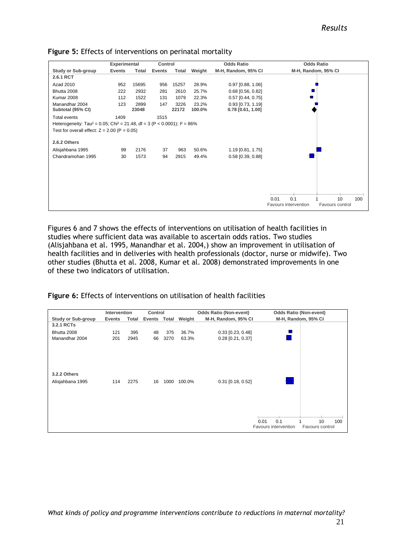|                                                                                                   | Experimental  |               | <b>Odds Ratio</b><br>Control |               |                 | <b>Odds Ratio</b>                          |                                                                     |
|---------------------------------------------------------------------------------------------------|---------------|---------------|------------------------------|---------------|-----------------|--------------------------------------------|---------------------------------------------------------------------|
| <b>Study or Sub-group</b>                                                                         | <b>Events</b> | Total         | Events                       | Total         | Weight          | M-H, Random, 95% CI                        | M-H, Random, 95% CI                                                 |
| 2.6.1 RCT                                                                                         |               |               |                              |               |                 |                                            |                                                                     |
| Azad 2010                                                                                         | 952           | 15695         | 956                          | 15257         | 28.9%           | $0.97$ [0.88, 1.06]                        |                                                                     |
| Bhutta 2008                                                                                       | 222           | 2932          | 281                          | 2610          | 25.7%           | $0.68$ [0.56, 0.82]                        |                                                                     |
| Kumar 2008                                                                                        | 112           | 1522          | 131                          | 1079          | 22.3%           | $0.57$ [0.44, 0.75]                        |                                                                     |
| Manandhar 2004<br>Subtotal (95% CI)                                                               | 123           | 2899<br>23048 | 147                          | 3226<br>22172 | 23.2%<br>100.0% | $0.93$ [0.73, 1.19]<br>$0.78$ [0.61, 1.00] |                                                                     |
| <b>Total events</b>                                                                               | 1409          |               | 1515                         |               |                 |                                            |                                                                     |
| Heterogeneity: Tau <sup>2</sup> = 0.05; Chi <sup>2</sup> = 21.48, df = 3 (P < 0.0001); $P = 86\%$ |               |               |                              |               |                 |                                            |                                                                     |
| Test for overall effect: $Z = 2.00$ (P = 0.05)                                                    |               |               |                              |               |                 |                                            |                                                                     |
| 2.6.2 Others                                                                                      |               |               |                              |               |                 |                                            |                                                                     |
| Alisjahbana 1995                                                                                  | 99            | 2176          | 37                           | 963           | 50.6%           | 1.19 [0.81, 1.75]                          |                                                                     |
| Chandramohan 1995                                                                                 | 30            | 1573          | 94                           | 2915          | 49.4%           | 0.58 [0.39, 0.88]                          |                                                                     |
|                                                                                                   |               |               |                              |               |                 |                                            |                                                                     |
|                                                                                                   |               |               |                              |               |                 |                                            |                                                                     |
|                                                                                                   |               |               |                              |               |                 |                                            |                                                                     |
|                                                                                                   |               |               |                              |               |                 |                                            |                                                                     |
|                                                                                                   |               |               |                              |               |                 |                                            | 0.1<br>0.01<br>10<br>100<br>Favours intervention<br>Favours control |
|                                                                                                   |               |               |                              |               |                 |                                            |                                                                     |

#### **Figure 5:** Effects of interventions on perinatal mortality

Figures 6 and 7 shows the effects of interventions on utilisation of health facilities in studies where sufficient data was available to ascertain odds ratios. Two studies (Alisjahbana et al. 1995, Manandhar et al. 2004,) show an improvement in utilisation of health facilities and in deliveries with health professionals (doctor, nurse or midwife). Two other studies (Bhutta et al. 2008, Kumar et al. 2008) demonstrated improvements in one of these two indicators of utilisation.

**Figure 6:** Effects of interventions on utilisation of health facilities

|                    | Intervention |       | Control |                                                                      |        | <b>Odds Ratio (Non-event)</b> |                                     | <b>Odds Ratio (Non-event)</b> |
|--------------------|--------------|-------|---------|----------------------------------------------------------------------|--------|-------------------------------|-------------------------------------|-------------------------------|
| Study or Sub-group | Events       | Total |         | M-H, Random, 95% CI<br>Events Total<br>Weight<br>M-H, Random, 95% CI |        |                               |                                     |                               |
| 3.2.1 RCTs         |              |       |         |                                                                      |        |                               |                                     |                               |
| Bhutta 2008        | 121          | 395   | 48      | 375                                                                  | 36.7%  | $0.33$ [0.23, 0.48]           |                                     |                               |
| Manandhar 2004     | 201          | 2945  | 66      | 3270                                                                 | 63.3%  | $0.28$ [0.21, 0.37]           |                                     |                               |
|                    |              |       |         |                                                                      |        |                               |                                     |                               |
| 3.2.2 Others       |              |       |         |                                                                      |        |                               |                                     |                               |
| Alisjahbana 1995   | 114          | 2275  | 16      | 1000                                                                 | 100.0% | $0.31$ [0.18, 0.52]           |                                     |                               |
|                    |              |       |         |                                                                      |        |                               |                                     |                               |
|                    |              |       |         |                                                                      |        |                               | 0.01<br>0.1<br>Favours intervention | 10<br>100<br>Favours control  |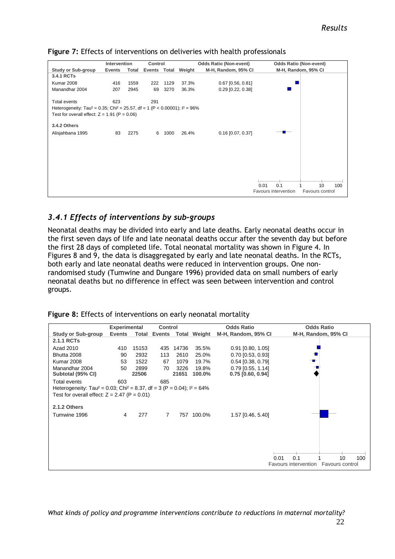|                                                                                                     | Intervention  |       | Control      |      |        | <b>Odds Ratio (Non-event)</b> | <b>Odds Ratio (Non-event)</b> |                     |  |  |  |  |
|-----------------------------------------------------------------------------------------------------|---------------|-------|--------------|------|--------|-------------------------------|-------------------------------|---------------------|--|--|--|--|
| <b>Study or Sub-group</b>                                                                           | <b>Events</b> | Total | Events Total |      | Weight | M-H, Random, 95% CI           |                               | M-H, Random, 95% CI |  |  |  |  |
| 3.4.1 RCTs                                                                                          |               |       |              |      |        |                               |                               |                     |  |  |  |  |
| <b>Kumar 2008</b>                                                                                   | 416           | 1559  | 222          | 1129 | 37.3%  | $0.67$ [0.56, 0.81]           |                               |                     |  |  |  |  |
| Manandhar 2004                                                                                      | 207           | 2945  | 69           | 3270 | 36.3%  | $0.29$ [0.22, 0.38]           |                               |                     |  |  |  |  |
| Total events                                                                                        | 623           |       | 291          |      |        |                               |                               |                     |  |  |  |  |
| Heterogeneity: Tau <sup>2</sup> = 0.35; Chi <sup>2</sup> = 25.57, df = 1 (P < 0.00001); $I^2$ = 96% |               |       |              |      |        |                               |                               |                     |  |  |  |  |
| Test for overall effect: $Z = 1.91$ (P = 0.06)                                                      |               |       |              |      |        |                               |                               |                     |  |  |  |  |
| 3.4.2 Others                                                                                        |               |       |              |      |        |                               |                               |                     |  |  |  |  |
| Alisjahbana 1995                                                                                    | 83            | 2275  | 6            | 1000 | 26.4%  | $0.16$ [0.07, 0.37]           |                               |                     |  |  |  |  |
|                                                                                                     |               |       |              |      |        |                               |                               |                     |  |  |  |  |
|                                                                                                     |               |       |              |      |        |                               |                               |                     |  |  |  |  |
|                                                                                                     |               |       |              |      |        |                               |                               |                     |  |  |  |  |
|                                                                                                     |               |       |              |      |        |                               |                               |                     |  |  |  |  |
|                                                                                                     |               |       |              |      |        |                               |                               |                     |  |  |  |  |
|                                                                                                     |               |       |              |      |        |                               | 0.1<br>0.01                   | 10<br>100           |  |  |  |  |
|                                                                                                     |               |       |              |      |        |                               | Favours intervention          | Favours control     |  |  |  |  |

**Figure 7:** Effects of interventions on deliveries with health professionals

# <span id="page-26-0"></span>*3.4.1 Effects of interventions by sub-groups*

Neonatal deaths may be divided into early and late deaths. Early neonatal deaths occur in the first seven days of life and late neonatal deaths occur after the seventh day but before the first 28 days of completed life. Total neonatal mortality was shown in Figure 4. In Figures 8 and 9, the data is disaggregated by early and late neonatal deaths. In the RCTs, both early and late neonatal deaths were reduced in intervention groups. One nonrandomised study (Tumwine and Dungare 1996) provided data on small numbers of early neonatal deaths but no difference in effect was seen between intervention and control groups.

|  |  | Figure 8: Effects of interventions on early neonatal mortality |  |  |  |
|--|--|----------------------------------------------------------------|--|--|--|
|--|--|----------------------------------------------------------------|--|--|--|

|                                      | <b>Experimental</b>                                                                                                                                |               | <b>Control</b> |               |                     | <b>Odds Ratio</b>                          | <b>Odds Ratio</b>   |     |  |  |
|--------------------------------------|----------------------------------------------------------------------------------------------------------------------------------------------------|---------------|----------------|---------------|---------------------|--------------------------------------------|---------------------|-----|--|--|
| <b>Study or Sub-group</b>            | <b>Events</b>                                                                                                                                      | Total         |                |               | Events Total Weight | M-H, Random, 95% CI                        | M-H, Random, 95% CI |     |  |  |
| 2.1.1 RCTs                           |                                                                                                                                                    |               |                |               |                     |                                            |                     |     |  |  |
| Azad 2010                            | 410                                                                                                                                                | 15153         | 435            | 14736         | 35.5%               | $0.91$ [0.80, 1.05]                        |                     |     |  |  |
| Bhutta 2008                          | 90                                                                                                                                                 | 2932          | 113            | 2610          | 25.0%               | $0.70$ [0.53, 0.93]                        |                     |     |  |  |
| <b>Kumar 2008</b>                    | 53                                                                                                                                                 | 1522          | 67             | 1079          | 19.7%               | $0.54$ [0.38, 0.79]                        |                     |     |  |  |
| Manandhar 2004<br>Subtotal (95% CI)  | 50                                                                                                                                                 | 2899<br>22506 | 70             | 3226<br>21651 | 19.8%<br>100.0%     | $0.79$ [0.55, 1.14]<br>$0.75$ [0.60, 0.94] |                     |     |  |  |
| Total events                         | 603                                                                                                                                                |               | 685            |               |                     |                                            |                     |     |  |  |
|                                      | Heterogeneity: Tau <sup>2</sup> = 0.03; Chi <sup>2</sup> = 8.37, df = 3 (P = 0.04); $I^2 = 64\%$<br>Test for overall effect: $Z = 2.47$ (P = 0.01) |               |                |               |                     |                                            |                     |     |  |  |
| 2.1.2 Others                         |                                                                                                                                                    |               |                |               |                     |                                            |                     |     |  |  |
| Tumwine 1996                         | 4                                                                                                                                                  | 277           | $\overline{7}$ |               | 757 100.0%          | 1.57 [0.46, 5.40]                          |                     |     |  |  |
|                                      |                                                                                                                                                    |               |                |               |                     |                                            |                     |     |  |  |
|                                      |                                                                                                                                                    |               |                |               |                     |                                            |                     |     |  |  |
|                                      |                                                                                                                                                    |               |                |               |                     |                                            |                     |     |  |  |
|                                      |                                                                                                                                                    |               |                |               |                     |                                            | 0.1<br>10<br>0.01   | 100 |  |  |
| Favours intervention Favours control |                                                                                                                                                    |               |                |               |                     |                                            |                     |     |  |  |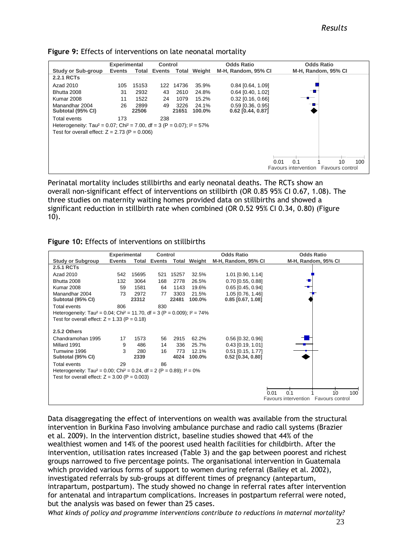|                                                                                                 | <b>Experimental</b>                       |       | <b>Control</b> |        |                     | <b>Odds Ratio</b>   | <b>Odds Ratio</b>                    |           |  |  |
|-------------------------------------------------------------------------------------------------|-------------------------------------------|-------|----------------|--------|---------------------|---------------------|--------------------------------------|-----------|--|--|
| <b>Study or Sub-group</b>                                                                       | Events<br>Total<br><b>Events</b><br>Total |       |                | Weight | M-H, Random, 95% CI | M-H, Random, 95% CI |                                      |           |  |  |
| <b>2.2.1 RCTs</b>                                                                               |                                           |       |                |        |                     |                     |                                      |           |  |  |
| Azad 2010                                                                                       | 105                                       | 15153 | 122            | 14736  | 35.9%               | $0.84$ [0.64, 1.09] |                                      |           |  |  |
| Bhutta 2008                                                                                     | 31                                        | 2932  | 43             | 2610   | 24.8%               | $0.64$ [0.40, 1.02] |                                      |           |  |  |
| <b>Kumar 2008</b>                                                                               | 11                                        | 1522  | 24             | 1079   | 15.2%               | $0.32$ [0.16, 0.66] |                                      |           |  |  |
| Manandhar 2004                                                                                  | 26                                        | 2899  | 49             | 3226   | 24.1%               | $0.59$ [0.36, 0.95] |                                      |           |  |  |
| Subtotal (95% CI)                                                                               |                                           | 22506 |                | 21651  | 100.0%              | 0.62 [0.44, 0.87]   |                                      |           |  |  |
| Total events                                                                                    | 173                                       |       | 238            |        |                     |                     |                                      |           |  |  |
| Heterogeneity: Tau <sup>2</sup> = 0.07; Chi <sup>2</sup> = 7.00, df = 3 (P = 0.07); $1^2$ = 57% |                                           |       |                |        |                     |                     |                                      |           |  |  |
| Test for overall effect: $Z = 2.73$ (P = 0.006)                                                 |                                           |       |                |        |                     |                     |                                      |           |  |  |
|                                                                                                 |                                           |       |                |        |                     |                     |                                      |           |  |  |
|                                                                                                 |                                           |       |                |        |                     |                     |                                      |           |  |  |
|                                                                                                 |                                           |       |                |        |                     |                     |                                      |           |  |  |
|                                                                                                 |                                           |       |                |        |                     |                     | 0.1<br>0.01                          | 10<br>100 |  |  |
|                                                                                                 |                                           |       |                |        |                     |                     | Favours intervention Favours control |           |  |  |

#### **Figure 9:** Effects of interventions on late neonatal mortality

Perinatal mortality includes stillbirths and early neonatal deaths. The RCTs show an overall non-significant effect of interventions on stillbirth (OR 0.85 95% CI 0.67, 1.08). The three studies on maternity waiting homes provided data on stillbirths and showed a significant reduction in stillbirth rate when combined (OR 0.52 95% CI 0.34, 0.80) (Figure 10).

|  |  |  |  | Figure 10: Effects of interventions on stillbirths |  |  |
|--|--|--|--|----------------------------------------------------|--|--|
|--|--|--|--|----------------------------------------------------|--|--|

|                                                                                                   |               | <b>Experimental</b><br>Control |               |               | <b>Odds Ratio</b> | <b>Odds Ratio</b>                          |                                                                              |
|---------------------------------------------------------------------------------------------------|---------------|--------------------------------|---------------|---------------|-------------------|--------------------------------------------|------------------------------------------------------------------------------|
| <b>Study or Subgroup</b>                                                                          | <b>Events</b> | Total                          | <b>Events</b> |               | Total Weight      | M-H, Random, 95% CI                        | M-H, Random, 95% CI                                                          |
| 2.5.1 RCTs                                                                                        |               |                                |               |               |                   |                                            |                                                                              |
| Azad 2010                                                                                         | 542           | 15695                          | 521           | 15257         | 32.5%             | $1.01$ [0.90, 1.14]                        |                                                                              |
| Bhutta 2008                                                                                       | 132           | 3064                           | 168           | 2778          | 26.5%             | 0.70 [0.55, 0.88]                          |                                                                              |
| <b>Kumar 2008</b>                                                                                 | 59            | 1581                           | 64            | 1143          | 19.6%             | $0.65$ [0.45, 0.94]                        |                                                                              |
| Manandhar 2004<br>Subtotal (95% CI)                                                               | 73            | 2972<br>23312                  | 77            | 3303<br>22481 | 21.5%<br>100.0%   | 1.05 [0.76, 1.46]<br>$0.85$ [0.67, 1.08]   |                                                                              |
| Total events                                                                                      | 806           |                                | 830           |               |                   |                                            |                                                                              |
| Heterogeneity: Tau <sup>2</sup> = 0.04; Chi <sup>2</sup> = 11.70, df = 3 (P = 0.009); $1^2$ = 74% |               |                                |               |               |                   |                                            |                                                                              |
| Test for overall effect: $Z = 1.33$ (P = 0.18)                                                    |               |                                |               |               |                   |                                            |                                                                              |
| 2.5.2 Others                                                                                      |               |                                |               |               |                   |                                            |                                                                              |
| Chandramohan 1995                                                                                 | 17            | 1573                           | 56            | 2915          | 62.2%             | $0.56$ [0.32, 0.96]                        |                                                                              |
| Millard 1991                                                                                      | 9             | 486                            | 14            | 336           | 25.7%             | $0.43$ [0.19, 1.01]                        |                                                                              |
| Tumwine 1996<br>Subtotal (95% CI)                                                                 | 3             | 280<br>2339                    | 16            | 773<br>4024   | 12.1%<br>100.0%   | $0.51$ [0.15, 1.77]<br>$0.52$ [0.34, 0.80] |                                                                              |
| Total events                                                                                      | 29            |                                | 86            |               |                   |                                            |                                                                              |
| Heterogeneity: Tau <sup>2</sup> = 0.00; Chi <sup>2</sup> = 0.24, df = 2 (P = 0.89); $I^2 = 0\%$   |               |                                |               |               |                   |                                            |                                                                              |
| Test for overall effect: $Z = 3.00$ (P = 0.003)                                                   |               |                                |               |               |                   |                                            |                                                                              |
|                                                                                                   |               |                                |               |               |                   |                                            | 0.01<br>10<br>100<br>$^{\circ}$ 1<br>Favours intervention<br>Favours control |

Data disaggregating the effect of interventions on wealth was available from the structural intervention in Burkina Faso involving ambulance purchase and radio call systems (Brazier et al. 2009). In the intervention district, baseline studies showed that 44% of the wealthiest women and 14% of the poorest used health facilities for childbirth. After the intervention, utilisation rates increased (Table 3) and the gap between poorest and richest groups narrowed to five percentage points. The organisational intervention in Guatemala which provided various forms of support to women during referral (Bailey et al. 2002), investigated referrals by sub-groups at different times of pregnancy (antepartum, intrapartum, postpartum). The study showed no change in referral rates after intervention for antenatal and intrapartum complications. Increases in postpartum referral were noted, but the analysis was based on fewer than 25 cases.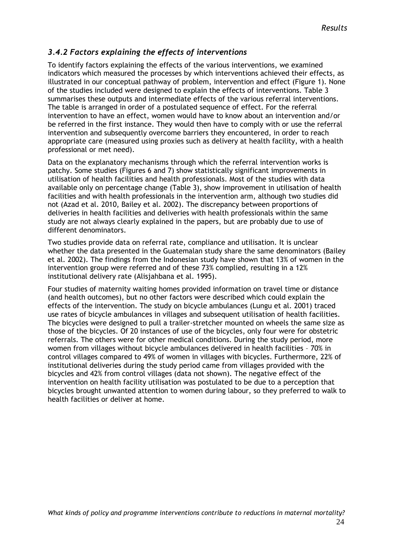### <span id="page-28-0"></span>*3.4.2 Factors explaining the effects of interventions*

To identify factors explaining the effects of the various interventions, we examined indicators which measured the processes by which interventions achieved their effects, as illustrated in our conceptual pathway of problem, intervention and effect (Figure 1). None of the studies included were designed to explain the effects of interventions. Table 3 summarises these outputs and intermediate effects of the various referral interventions. The table is arranged in order of a postulated sequence of effect. For the referral intervention to have an effect, women would have to know about an intervention and/or be referred in the first instance. They would then have to comply with or use the referral intervention and subsequently overcome barriers they encountered, in order to reach appropriate care (measured using proxies such as delivery at health facility, with a health professional or met need).

Data on the explanatory mechanisms through which the referral intervention works is patchy. Some studies (Figures 6 and 7) show statistically significant improvements in utilisation of health facilities and health professionals. Most of the studies with data available only on percentage change (Table 3), show improvement in utilisation of health facilities and with health professionals in the intervention arm, although two studies did not (Azad et al. 2010, Bailey et al. 2002). The discrepancy between proportions of deliveries in health facilities and deliveries with health professionals within the same study are not always clearly explained in the papers, but are probably due to use of different denominators.

Two studies provide data on referral rate, compliance and utilisation. It is unclear whether the data presented in the Guatemalan study share the same denominators (Bailey et al. 2002). The findings from the Indonesian study have shown that 13% of women in the intervention group were referred and of these 73% complied, resulting in a 12% institutional delivery rate (Alisjahbana et al. 1995).

Four studies of maternity waiting homes provided information on travel time or distance (and health outcomes), but no other factors were described which could explain the effects of the intervention. The study on bicycle ambulances (Lungu et al. 2001) traced use rates of bicycle ambulances in villages and subsequent utilisation of health facilities. The bicycles were designed to pull a trailer-stretcher mounted on wheels the same size as those of the bicycles. Of 20 instances of use of the bicycles, only four were for obstetric referrals. The others were for other medical conditions. During the study period, more women from villages without bicycle ambulances delivered in health facilities – 70% in control villages compared to 49% of women in villages with bicycles. Furthermore, 22% of institutional deliveries during the study period came from villages provided with the bicycles and 42% from control villages (data not shown). The negative effect of the intervention on health facility utilisation was postulated to be due to a perception that bicycles brought unwanted attention to women during labour, so they preferred to walk to health facilities or deliver at home.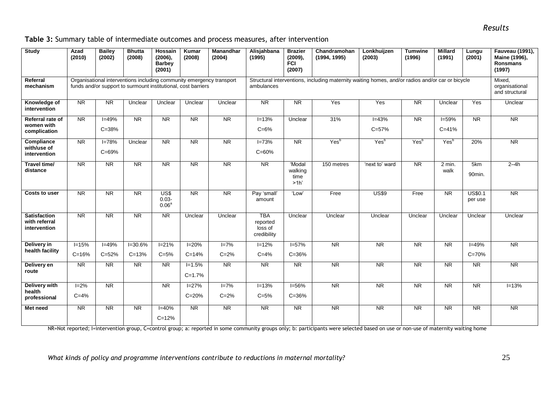| Table 3: Summary table of intermediate outcomes and process measures, after intervention |  |  |
|------------------------------------------------------------------------------------------|--|--|
|------------------------------------------------------------------------------------------|--|--|

| <b>Study</b>                                         | Azad<br>(2010)                                                                                                                        | <b>Bailey</b><br>(2002)  | <b>Bhutta</b><br>(2008)  | <b>Hossain</b><br>$(2006)$ ,<br><b>Barbey</b><br>(2001) | Kumar<br>(2008)          | <b>Manandhar</b><br>(2004)          | Alisjahbana<br>(1995)                                                                            | <b>Brazier</b><br>$(2009)$ ,<br><b>FCI</b><br>(2007) | Chandramohan<br>(1994, 1995) | Lonkhuijzen<br>(2003)  | <b>Tumwine</b><br>(1996) | <b>Millard</b><br>(1991) | Lungu<br>(2001)           | Fauveau (1991),<br>Maine (1996),<br>Ronsmans<br>(1997) |
|------------------------------------------------------|---------------------------------------------------------------------------------------------------------------------------------------|--------------------------|--------------------------|---------------------------------------------------------|--------------------------|-------------------------------------|--------------------------------------------------------------------------------------------------|------------------------------------------------------|------------------------------|------------------------|--------------------------|--------------------------|---------------------------|--------------------------------------------------------|
| Referral<br>mechanism                                | Organisational interventions including community emergency transport<br>funds and/or support to surmount institutional, cost barriers |                          |                          |                                                         |                          | ambulances                          | Structural interventions, including maternity waiting homes, and/or radios and/or car or bicycle |                                                      |                              |                        |                          |                          |                           |                                                        |
| Knowledge of<br>intervention                         | <b>NR</b>                                                                                                                             | <b>NR</b>                | Unclear                  | Unclear                                                 | Unclear                  | Unclear                             | <b>NR</b>                                                                                        | <b>NR</b>                                            | Yes                          | Yes                    | <b>NR</b>                | Unclear                  | Yes                       | Unclear                                                |
| Referral rate of<br>women with<br>complication       | $\overline{\text{NR}}$                                                                                                                | $I = 49%$<br>$C = 38%$   | $\overline{\text{NR}}$   | $\overline{\text{NR}}$                                  | $\overline{\text{NR}}$   | NR                                  | $I = 13%$<br>$C = 6%$                                                                            | Unclear                                              | 31%                          | $I = 43%$<br>$C = 57%$ | $\overline{\text{NR}}$   | $I = 59%$<br>$C = 41%$   | $\overline{\text{NR}}$    | NR                                                     |
| Compliance<br>with/use of<br>intervention            | $\overline{\text{NR}}$                                                                                                                | $I = 78%$<br>$C = 69%$   | Unclear                  | $\overline{\text{NR}}$                                  | <b>NR</b>                | <b>NR</b>                           | $I = 73%$<br>$C = 60%$                                                                           | $\overline{\text{NR}}$                               | Yes <sup>b</sup>             | Yes <sup>b</sup>       | Yes <sup>b</sup>         | Yes <sup>b</sup>         | 20%                       | <b>NR</b>                                              |
| Travel time/<br>distance                             | NR                                                                                                                                    | NR                       | NR                       | NR                                                      | NR                       | NR                                  | NR                                                                                               | 'Modal<br>walking<br>time<br>>1h'                    | 150 metres                   | 'next to' ward         | NR                       | $2 \text{ min.}$<br>walk | 5km<br>90min.             | $2-4h$                                                 |
| Costs to user                                        | $\overline{\overline{\mathsf{NR}}}$                                                                                                   | <b>NR</b>                | <b>NR</b>                | US\$<br>$0.03 -$<br>$0.06^{a}$                          | <b>NR</b>                | $\overline{\overline{\mathsf{NR}}}$ | Pay 'small'<br>amount                                                                            | 'Low'                                                | Free                         | <b>US\$9</b>           | Free                     | <b>NR</b>                | <b>US\$0.1</b><br>per use | $\overline{\text{NR}}$                                 |
| <b>Satisfaction</b><br>with referral<br>intervention | $\overline{\overline{\mathsf{NR}}}$                                                                                                   | <b>NR</b>                | $\overline{\text{NR}}$   | $\overline{\text{NR}}$                                  | Unclear                  | Unclear                             | <b>TBA</b><br>reported<br>loss of<br>credibility                                                 | Unclear                                              | Unclear                      | Unclear                | Unclear                  | Unclear                  | Unclear                   | Unclear                                                |
| Delivery in<br>health facility                       | $I = 15%$<br>$C = 16%$                                                                                                                | $I = 49%$<br>$C = 52%$   | $I = 30.6%$<br>$C = 13%$ | $I = 21%$<br>$C = 5%$                                   | $I = 20%$<br>$C = 14%$   | $I = 7%$<br>$C = 2%$                | $I = 12%$<br>$C = 4%$                                                                            | $I = 57%$<br>$C = 36%$                               | $\overline{\mathsf{NR}}$     | $\overline{\text{NR}}$ | <b>NR</b>                | <b>NR</b>                | $I = 49%$<br>$C = 70%$    | $\overline{\text{NR}}$                                 |
| Delivery en<br>route                                 | $\overline{\text{NR}}$                                                                                                                | $\overline{\mathsf{NR}}$ | $\overline{\text{NR}}$   | <b>NR</b>                                               | $I = 1.5%$<br>$C = 1.7%$ | NR                                  | $\overline{\text{NR}}$                                                                           | $\overline{\text{NR}}$                               | $\overline{\mathsf{NR}}$     | $\overline{\text{NR}}$ | $\overline{\text{NR}}$   | $\overline{\text{NR}}$   | $\overline{\text{NR}}$    | $\overline{\text{NR}}$                                 |
| Delivery with<br>health<br>professional              | $I = 2%$<br>$C = 4%$                                                                                                                  | $\overline{\text{NR}}$   |                          | $\overline{\text{NR}}$                                  | $I = 27%$<br>$C = 20%$   | $I = 7%$<br>$C = 2%$                | $I = 13%$<br>$C = 5%$                                                                            | $I = 56%$<br>$C = 36%$                               | NR                           | $\overline{\text{NR}}$ | $\overline{\text{NR}}$   | $\overline{\text{NR}}$   | $\overline{\text{NR}}$    | $I = 13%$                                              |
| Met need                                             | NR                                                                                                                                    | $\overline{\text{NR}}$   | $\overline{\text{NR}}$   | $I = 40%$<br>$C = 12%$                                  | NR                       | NR                                  | NR                                                                                               | $\overline{\text{NR}}$                               | <b>NR</b>                    | $\overline{\text{NR}}$ | NR                       | NR                       | NR                        | NR                                                     |

NR=Not reported; I=intervention group, C=control group; a: reported in some community groups only; b: participants were selected based on use or non-use of maternity waiting home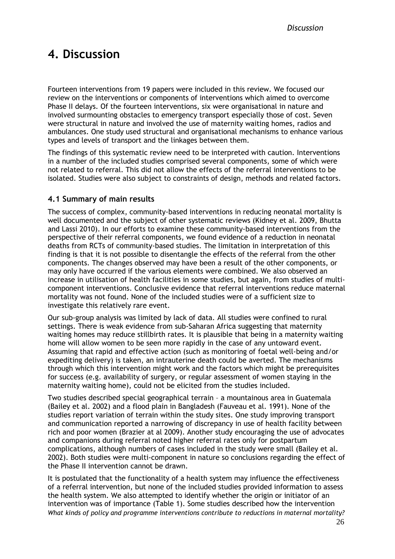*Discussion Results*

# <span id="page-30-0"></span>**4. Discussion**

Fourteen interventions from 19 papers were included in this review. We focused our review on the interventions or components of interventions which aimed to overcome Phase II delays. Of the fourteen interventions, six were organisational in nature and involved surmounting obstacles to emergency transport especially those of cost. Seven were structural in nature and involved the use of maternity waiting homes, radios and ambulances. One study used structural and organisational mechanisms to enhance various types and levels of transport and the linkages between them.

The findings of this systematic review need to be interpreted with caution. Interventions in a number of the included studies comprised several components, some of which were not related to referral. This did not allow the effects of the referral interventions to be isolated. Studies were also subject to constraints of design, methods and related factors.

#### <span id="page-30-1"></span>**4.1 Summary of main results**

The success of complex, community-based interventions in reducing neonatal mortality is well documented and the subject of other systematic reviews (Kidney et al. 2009, Bhutta and Lassi 2010). In our efforts to examine these community-based interventions from the perspective of their referral components, we found evidence of a reduction in neonatal deaths from RCTs of community-based studies. The limitation in interpretation of this finding is that it is not possible to disentangle the effects of the referral from the other components. The changes observed may have been a result of the other components, or may only have occurred if the various elements were combined. We also observed an increase in utilisation of health facilities in some studies, but again, from studies of multicomponent interventions. Conclusive evidence that referral interventions reduce maternal mortality was not found. None of the included studies were of a sufficient size to investigate this relatively rare event.

Our sub-group analysis was limited by lack of data. All studies were confined to rural settings. There is weak evidence from sub-Saharan Africa suggesting that maternity waiting homes may reduce stillbirth rates. It is plausible that being in a maternity waiting home will allow women to be seen more rapidly in the case of any untoward event. Assuming that rapid and effective action (such as monitoring of foetal well-being and/or expediting delivery) is taken, an intrauterine death could be averted. The mechanisms through which this intervention might work and the factors which might be prerequisites for success (e.g. availability of surgery, or regular assessment of women staying in the maternity waiting home), could not be elicited from the studies included.

Two studies described special geographical terrain – a mountainous area in Guatemala (Bailey et al. 2002) and a flood plain in Bangladesh (Fauveau et al. 1991). None of the studies report variation of terrain within the study sites. One study improving transport and communication reported a narrowing of discrepancy in use of health facility between rich and poor women (Brazier at al 2009). Another study encouraging the use of advocates and companions during referral noted higher referral rates only for postpartum complications, although numbers of cases included in the study were small (Bailey et al. 2002). Both studies were multi-component in nature so conclusions regarding the effect of the Phase II intervention cannot be drawn.

*What kinds of policy and programme interventions contribute to reductions in maternal mortality?* It is postulated that the functionality of a health system may influence the effectiveness of a referral intervention, but none of the included studies provided information to assess the health system. We also attempted to identify whether the origin or initiator of an intervention was of importance (Table 1). Some studies described how the intervention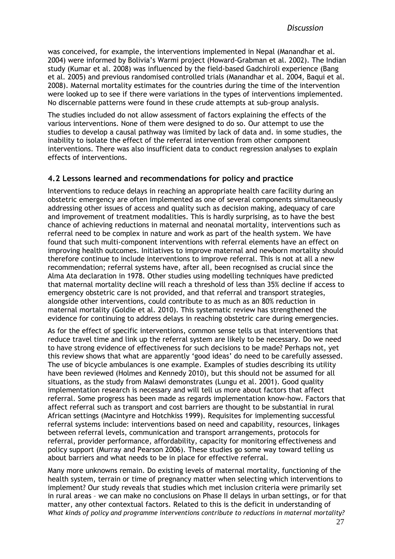was conceived, for example, the interventions implemented in Nepal (Manandhar et al. 2004) were informed by Bolivia's Warmi project (Howard-Grabman et al. 2002). The Indian study (Kumar et al. 2008) was influenced by the field-based Gadchiroli experience (Bang et al. 2005) and previous randomised controlled trials (Manandhar et al. 2004, Baqui et al. 2008). Maternal mortality estimates for the countries during the time of the intervention were looked up to see if there were variations in the types of interventions implemented. No discernable patterns were found in these crude attempts at sub-group analysis.

The studies included do not allow assessment of factors explaining the effects of the various interventions. None of them were designed to do so. Our attempt to use the studies to develop a causal pathway was limited by lack of data and. in some studies, the inability to isolate the effect of the referral intervention from other component interventions. There was also insufficient data to conduct regression analyses to explain effects of interventions.

#### <span id="page-31-0"></span>**4.2 Lessons learned and recommendations for policy and practice**

Interventions to reduce delays in reaching an appropriate health care facility during an obstetric emergency are often implemented as one of several components simultaneously addressing other issues of access and quality such as decision making, adequacy of care and improvement of treatment modalities. This is hardly surprising, as to have the best chance of achieving reductions in maternal and neonatal mortality, interventions such as referral need to be complex in nature and work as part of the health system. We have found that such multi-component interventions with referral elements have an effect on improving health outcomes. Initiatives to improve maternal and newborn mortality should therefore continue to include interventions to improve referral. This is not at all a new recommendation; referral systems have, after all, been recognised as crucial since the Alma Ata declaration in 1978. Other studies using modelling techniques have predicted that maternal mortality decline will reach a threshold of less than 35% decline if access to emergency obstetric care is not provided, and that referral and transport strategies, alongside other interventions, could contribute to as much as an 80% reduction in maternal mortality (Goldie et al. 2010). This systematic review has strengthened the evidence for continuing to address delays in reaching obstetric care during emergencies.

As for the effect of specific interventions, common sense tells us that interventions that reduce travel time and link up the referral system are likely to be necessary. Do we need to have strong evidence of effectiveness for such decisions to be made? Perhaps not, yet this review shows that what are apparently 'good ideas' do need to be carefully assessed. The use of bicycle ambulances is one example. Examples of studies describing its utility have been reviewed (Holmes and Kennedy 2010), but this should not be assumed for all situations, as the study from Malawi demonstrates (Lungu et al. 2001). Good quality implementation research is necessary and will tell us more about factors that affect referral. Some progress has been made as regards implementation know-how. Factors that affect referral such as transport and cost barriers are thought to be substantial in rural African settings (Macintyre and Hotchkiss 1999). Requisites for implementing successful referral systems include: interventions based on need and capability, resources, linkages between referral levels, communication and transport arrangements, protocols for referral, provider performance, affordability, capacity for monitoring effectiveness and policy support (Murray and Pearson 2006). These studies go some way toward telling us about barriers and what needs to be in place for effective referral.

*What kinds of policy and programme interventions contribute to reductions in maternal mortality?* Many more unknowns remain. Do existing levels of maternal mortality, functioning of the health system, terrain or time of pregnancy matter when selecting which interventions to implement? Our study reveals that studies which met inclusion criteria were primarily set in rural areas – we can make no conclusions on Phase II delays in urban settings, or for that matter, any other contextual factors. Related to this is the deficit in understanding of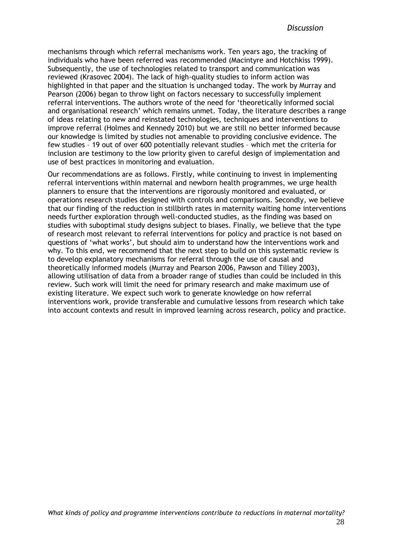mechanisms through which referral mechanisms work. Ten years ago, the tracking of individuals who have been referred was recommended (Macintyre and Hotchkiss 1999). Subsequently, the use of technologies related to transport and communication was reviewed (Krasovec 2004). The lack of high-quality studies to inform action was highlighted in that paper and the situation is unchanged today. The work by Murray and Pearson (2006) began to throw light on factors necessary to successfully implement referral interventions. The authors wrote of the need for 'theoretically informed social and organisational research' which remains unmet. Today, the literature describes a range of ideas relating to new and reinstated technologies, techniques and interventions to improve referral (Holmes and Kennedy 2010) but we are still no better informed because our knowledge is limited by studies not amenable to providing conclusive evidence. The few studies – 19 out of over 600 potentially relevant studies – which met the criteria for inclusion are testimony to the low priority given to careful design of implementation and use of best practices in monitoring and evaluation.

Our recommendations are as follows. Firstly, while continuing to invest in implementing referral interventions within maternal and newborn health programmes, we urge health planners to ensure that the interventions are rigorously monitored and evaluated, or operations research studies designed with controls and comparisons. Secondly, we believe that our finding of the reduction in stillbirth rates in maternity waiting home interventions needs further exploration through well-conducted studies, as the finding was based on studies with suboptimal study designs subject to biases. Finally, we believe that the type of research most relevant to referral interventions for policy and practice is not based on questions of 'what works', but should aim to understand how the interventions work and why. To this end, we recommend that the next step to build on this systematic review is to develop explanatory mechanisms for referral through the use of causal and theoretically informed models (Murray and Pearson 2006, Pawson and Tilley 2003), allowing utilisation of data from a broader range of studies than could be included in this review. Such work will limit the need for primary research and make maximum use of existing literature. We expect such work to generate knowledge on how referral interventions work, provide transferable and cumulative lessons from research which take into account contexts and result in improved learning across research, policy and practice.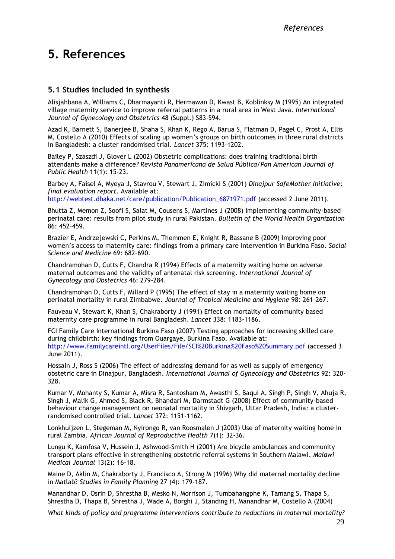# <span id="page-33-0"></span>**5. References**

#### <span id="page-33-1"></span>**5.1 Studies included in synthesis**

Alisjahbana A, Williams C, Dharmayanti R, Hermawan D, Kwast B, Koblinksy M (1995) An integrated village maternity service to improve referral patterns in a rural area in West Java. *International Journal of Gynecology and Obstetrics* 48 (Suppl.) S83-S94.

Azad K, Barnett S, Banerjee B, Shaha S, Khan K, Rego A, Barua S, Flatman D, Pagel C, Prost A, Ellis M, Costello A (2010) Effects of scaling up women's groups on birth outcomes in three rural districts in Bangladesh: a cluster randomised trial. *Lancet* 375: 1193-1202.

Bailey P, Szaszdi J, Glover L (2002) Obstetric complications: does training traditional birth attendants make a difference*? Revista Panamericana de Salud Pública/Pan American Journal of Public Health* 11(1): 15-23.

Barbey A, Faisel A, Myeya J, Stavrou V, Stewart J, Zimicki S (2001) *Dinajpur SafeMother Initiative: final evaluation report*. Available at:

http://webtest.dhaka.net/care/publication/Publication 6871971.pdf (accessed 2 June 2011).

Bhutta Z, Memon Z, Soofi S, Salat M, Cousens S, Martines J (2008) Implementing community-based perinatal care: results from pilot study in rural Pakistan. *Bulletin of the World Health Organization* 86: 452–459.

Brazier E, Andrzejewski C, Perkins M, Themmen E, Knight R, Bassane B (2009) Improving poor women's access to maternity care: findings from a primary care intervention in Burkina Faso. *Social Science and Medicine* 69: 682–690.

Chandramohan D, Cutts F, Chandra R (1994) Effects of a maternity waiting home on adverse maternal outcomes and the validity of antenatal risk screening. *International Journal of Gynecology and Obstetrics* 46: 279-284.

Chandramohan D, Cutts F, Millard P (1995) The effect of stay in a maternity waiting home on perinatal mortality in rural Zimbabwe. *Journal of Tropical Medicine and Hygiene* 98: 261-267.

Fauveau V, Stewart K, Khan S, Chakraborty J (1991) Effect on mortality of community based maternity care programme in rural Bangladesh. *Lancet* 338: 1183-1186.

FCI Family Care International Burkina Faso (2007) Testing approaches for increasing skilled care during childbirth: key findings from Ouargaye, Burkina Faso. Available at: <http://www.familycareintl.org/UserFiles/File/SCI%20Burkina%20Faso%20Summary.pdf> (accessed 3 June 2011).

Hossain J, Ross S (2006) The effect of addressing demand for as well as supply of emergency obstetric care in Dinajpur, Bangladesh. *International Journal of Gynecology and Obstetrics* 92: 320- 328.

Kumar V, Mohanty S, Kumar A, Misra R, Santosham M, Awasthi S, Baqui A, Singh P, Singh V, Ahuja R, Singh J, Malik G, Ahmed S, Black R, Bhandari M, Darmstadt G (2008) Effect of community-based behaviour change management on neonatal mortality in Shivgarh, Uttar Pradesh, India: a clusterrandomised controlled trial. *Lancet* 372: 1151-1162.

Lonkhuijzen L, Stegeman M, Nyirongo R, van Roosmalen J (2003) Use of maternity waiting home in rural Zambia. *African Journal of Reproductive Health* 7(1): 32-36.

Lungu K, Kamfosa V, Hussein J, Ashwood-Smith H (2001) Are bicycle ambulances and community transport plans effective in strengthening obstetric referral systems in Southern Malawi. *Malawi Medical Journal* 13(2): 16-18.

Maine D, Aklin M, Chakraborty J, Francisco A, Strong M (1996) Why did maternal mortality decline in Matlab? *Studies in Family Planning* 27 (4): 179-187.

Manandhar D, Osrin D, Shrestha B, Mesko N, Morrison J, Tumbahangphe K, Tamang S, Thapa S, Shrestha D, Thapa B, Shrestha J, Wade A, Borghi J, Standing H, Manandhar M, Costello A (2004)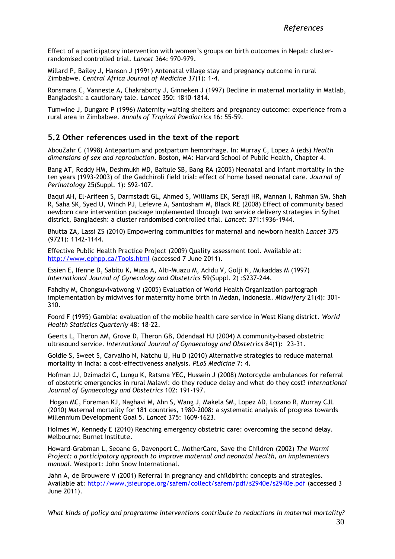Effect of a participatory intervention with women's groups on birth outcomes in Nepal: clusterrandomised controlled trial. *Lancet* 364: 970-979.

Millard P, Bailey J, Hanson J (1991) Antenatal village stay and pregnancy outcome in rural Zimbabwe. *Central Africa Journal of Medicine* 37(1): 1-4.

Ronsmans C, Vanneste A, Chakraborty J, Ginneken J (1997) Decline in maternal mortality in Matlab, Bangladesh: a cautionary tale. *Lancet* 350: 1810-1814.

Tumwine J, Dungare P (1996) Maternity waiting shelters and pregnancy outcome: experience from a rural area in Zimbabwe. *Annals of Tropical Paediatrics* 16: 55-59.

#### <span id="page-34-0"></span>**5.2 Other references used in the text of the report**

AbouZahr C (1998) Antepartum and postpartum hemorrhage. In: Murray C, Lopez A (eds) *Health dimensions of sex and reproduction*. Boston, MA: Harvard School of Public Health, Chapter 4.

Bang AT, Reddy HM, Deshmukh MD, Baitule SB, Bang RA (2005) Neonatal and infant mortality in the ten years (1993-2003) of the Gadchiroli field trial: effect of home based neonatal care. *Journal of Perinatology* 25(Suppl. 1): S92-107.

Baqui AH, El-Arifeen S, Darmstadt GL, Ahmed S, Williams EK, Seraji HR, Mannan I, Rahman SM, Shah R, Saha SK, Syed U, Winch PJ, Lefevre A, Santosham M, Black RE (2008) Effect of community based newborn care intervention package implemented through two service delivery strategies in Sylhet district, Bangladesh: a cluster randomised controlled trial. *Lancet*: 371:1936-1944.

Bhutta ZA, Lassi ZS (2010) Empowering communities for maternal and newborn health *Lancet* 375 (9721): 1142-1144.

Effective Public Health Practice Project (2009) Quality assessment tool. Available at: <http://www.ephpp.ca/Tools.html> (accessed 7 June 2011).

Essien E, Ifenne D, Sabitu K, Musa A, Alti-Muazu M, Adidu V, Golji N, Mukaddas M (1997) *International Journal of Gynecology and Obstetrics* 59(Suppl. 2) :S237-244.

Fahdhy M, Chongsuvivatwong V (2005) Evaluation of World Health Organization partograph implementation by midwives for maternity home birth in Medan, Indonesia. *Midwifery* 21(4): 301- 310.

Foord F (1995) Gambia: evaluation of the mobile health care service in West Kiang district. *World Health Statistics Quarterly* 48: 18-22.

Geerts L, Theron AM, Grove D, Theron GB, Odendaal HJ (2004) A community-based obstetric ultrasound service. *International Journal of Gynaecology and Obstetrics* 84(1): 23-31.

Goldie S, Sweet S, Carvalho N, Natchu U, Hu D (2010) Alternative strategies to reduce maternal mortality in India: a cost-effectiveness analysis. *PLoS Medicine* 7: 4.

Hofman JJ, Dzimadzi C, Lungu K, Ratsma YEC, Hussein J (2008) Motorcycle ambulances for referral of obstetric emergencies in rural Malawi: do they reduce delay and what do they cost? *International Journal of Gynaecology and Obstetrics* 102: 191-197.

Hogan MC, Foreman KJ, Naghavi M, Ahn S, Wang J, Makela SM, Lopez AD, Lozano R, Murray CJL (2010) Maternal mortality for 181 countries, 1980–2008: a systematic analysis of progress towards Millennium Development Goal 5. *Lancet* 375: 1609-1623.

Holmes W, Kennedy E (2010) Reaching emergency obstetric care: overcoming the second delay. Melbourne: Burnet Institute.

Howard-Grabman L, Seoane G, Davenport C, MotherCare, Save the Children (2002) *The Warmi Project: a participatory approach to improve maternal and neonatal health, an implementers manual*. Westport: John Snow International.

Jahn A, de Brouwere V (2001) Referral in pregnancy and childbirth: concepts and strategies. Available at: <http://www.jsieurope.org/safem/collect/safem/pdf/s2940e/s2940e.pdf> (accessed 3 June 2011).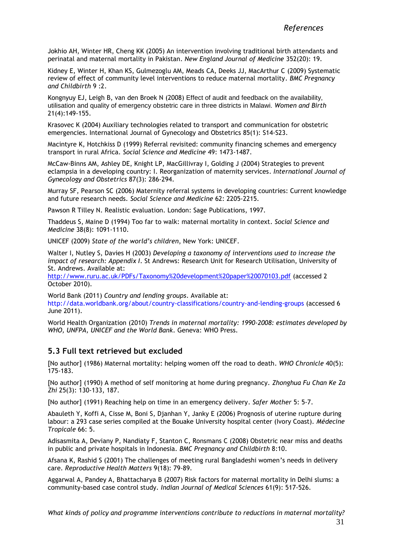Jokhio AH, Winter HR, Cheng KK (2005) An intervention involving traditional birth attendants and perinatal and maternal mortality in Pakistan. *New England Journal of Medicine* 352(20): 19.

Kidney E, Winter H, Khan KS, Gulmezoglu AM, Meads CA, Deeks JJ, MacArthur C (2009) Systematic review of effect of community level interventions to reduce maternal mortality. *BMC Pregnancy and Childbirth* 9 :2.

Kongnyuy EJ, Leigh B, van den Broek N (2008) Effect of audit and feedback on the availability, utilisation and quality of emergency obstetric care in three districts in Malawi. *Women and Birth* 21(4):149-155.

Krasovec K (2004) Auxiliary technologies related to transport and communication for obstetric emergencies. International Journal of Gynecology and Obstetrics 85(1): S14-S23.

Macintyre K, Hotchkiss D (1999) Referral revisited: community financing schemes and emergency transport in rural Africa. *Social Science and Medicine* 49: 1473-1487.

McCaw-Binns AM, Ashley DE, Knight LP, MacGillivray I, Golding J (2004) Strategies to prevent eclampsia in a developing country: I. Reorganization of maternity services. *International Journal of Gynecology and Obstetrics* 87(3): 286-294.

Murray SF, Pearson SC (2006) Maternity referral systems in developing countries: Current knowledge and future research needs. *Social Science and Medicine* 62: 2205-2215.

Pawson R Tilley N. Realistic evaluation. London: Sage Publications, 1997.

Thaddeus S, Maine D (1994) Too far to walk: maternal mortality in context. *Social Science and Medicine* 38(8): 1091-1110.

UNICEF (2009) *State of the world's children*, New York: UNICEF.

Walter I, Nutley S, Davies H (2003) *Developing a taxonomy of interventions used to increase the impact of research: Appendix I*. St Andrews: Research Unit for Research Utilisation, University of St. Andrews. Available at:

<http://www.ruru.ac.uk/PDFs/Taxonomy%20development%20paper%20070103.pdf> (accessed 2 October 2010).

World Bank (2011) *Country and lending groups*. Available at: <http://data.worldbank.org/about/country-classifications/country-and-lending-groups> (accessed 6 June 2011).

World Health Organization (2010) *Trends in maternal mortality: 1990-2008: estimates developed by WHO, UNFPA, UNICEF and the World Bank*. Geneva: WHO Press.

#### <span id="page-35-0"></span>**5.3 Full text retrieved but excluded**

[No author] (1986) Maternal mortality: helping women off the road to death. *WHO Chronicle* 40(5): 175-183.

[No author] (1990) A method of self monitoring at home during pregnancy*. Zhonghua Fu Chan Ke Za Zhi* 25(3): 130-133, 187.

[No author] (1991) Reaching help on time in an emergency delivery. *Safer Mother* 5: 5-7.

Abauleth Y, Koffi A, Cisse M, Boni S, Djanhan Y, Janky E (2006) Prognosis of uterine rupture during labour: a 293 case series compiled at the Bouake University hospital center (Ivory Coast). *Médecine Tropicale* 66: 5.

Adisasmita A, Deviany P, Nandiaty F, Stanton C, Ronsmans C (2008) Obstetric near miss and deaths in public and private hospitals in Indonesia. *BMC Pregnancy and Childbirth* 8:10.

Afsana K, Rashid S (2001) The challenges of meeting rural Bangladeshi women's needs in delivery care. *Reproductive Health Matters* 9(18): 79-89.

Aggarwal A, Pandey A, Bhattacharya B (2007) Risk factors for maternal mortality in Delhi slums: a community-based case control study. *Indian Journal of Medical Sciences* 61(9): 517-526.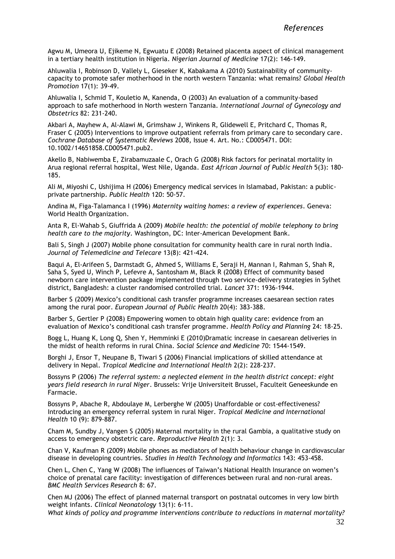Agwu M, Umeora U, Ejikeme N, Egwuatu E (2008) Retained placenta aspect of clinical management in a tertiary health institution in Nigeria. *Nigerian Journal of Medicine* 17(2): 146-149.

Ahluwalia I, Robinson D, Vallely L, Gieseker K, Kabakama A (2010) Sustainability of communitycapacity to promote safer motherhood in the north western Tanzania: what remains? *Global Health Promotion* 17(1): 39-49.

Ahluwalia I, Schmid T, Kouletio M, Kanenda, O (2003) An evaluation of a community-based approach to safe motherhood in North western Tanzania*. International Journal of Gynecology and Obstetrics* 82: 231-240.

Akbari A, Mayhew A, Al-Alawi M, Grimshaw J, Winkens R, Glidewell E, Pritchard C, Thomas R, Fraser C (2005) Interventions to improve outpatient referrals from primary care to secondary care. *Cochrane Database of Systematic Reviews* 2008, Issue 4. Art. No.: CD005471. DOI: 10.1002/14651858.CD005471.pub2.

Akello B, Nabiwemba E, Zirabamuzaale C, Orach G (2008) Risk factors for perinatal mortality in Arua regional referral hospital, West Nile, Uganda. *East African Journal of Public Health* 5(3): 180- 185.

Ali M, Miyoshi C, Ushijima H (2006) Emergency medical services in Islamabad, Pakistan: a publicprivate partnership. *Public Health* 120: 50-57.

Andina M, Figa-Talamanca I (1996) *Maternity waiting homes: a review of experiences*. Geneva: World Health Organization.

Anta R, El-Wahab S, Giuffrida A (2009) *Mobile health: the potential of mobile telephony to bring health care to the majority*. Washington, DC: Inter-American Development Bank.

Bali S, Singh J (2007) Mobile phone consultation for community health care in rural north India. *Journal of Telemedicine and Telecare* 13(8): 421-424.

Baqui A, El-Arifeen S, Darmstadt G, Ahmed S, Williams E, Seraji H, Mannan I, Rahman S, Shah R, Saha S, Syed U, Winch P, Lefevre A, Santosham M, Black R (2008) Effect of community based newborn care intervention package implemented through two service-delivery strategies in Sylhet district, Bangladesh: a cluster randomised controlled trial. *Lancet* 371: 1936-1944.

Barber S (2009) Mexico's conditional cash transfer programme increases caesarean section rates among the rural poor. *European Journal of Public Health* 20(4): 383-388.

Barber S, Gertler P (2008) Empowering women to obtain high quality care: evidence from an evaluation of Mexico's conditional cash transfer programme. *Health Policy and Planning* 24: 18-25.

Bogg L, Huang K, Long Q, Shen Y, Hemminki E (2010)Dramatic increase in caesarean deliveries in the midst of health reforms in rural China. *Social Science and Medicine* 70: 1544-1549.

Borghi J, Ensor T, Neupane B, Tiwari S (2006) Financial implications of skilled attendance at delivery in Nepal. *Tropical Medicine and International Health* 2(2): 228-237.

Bossyns P (2006) *The referral system: a neglected element in the health district concept: eight years field research in rural Niger*. Brussels: Vrije Universiteit Brussel, Faculteit Geneeskunde en Farmacie.

Bossyns P, Abache R, Abdoulaye M, Lerberghe W (2005) Unaffordable or cost-effectiveness? Introducing an emergency referral system in rural Niger. *Tropical Medicine and International Health* 10 (9): 879-887.

Cham M, Sundby J, Vangen S (2005) Maternal mortality in the rural Gambia, a qualitative study on access to emergency obstetric care. *Reproductive Health* 2(1): 3.

Chan V, Kaufman R (2009) Mobile phones as mediators of health behaviour change in cardiovascular disease in developing countries. *Studies in Health Technology and Informatics* 143: 453-458.

Chen L, Chen C, Yang W (2008) The influences of Taiwan's National Health Insurance on women's choice of prenatal care facility: investigation of differences between rural and non-rural areas. *BMC Health Services Research* 8: 67.

Chen MJ (2006) The effect of planned maternal transport on postnatal outcomes in very low birth weight infants. *Clinical Neonatology* 13(1): 6-11.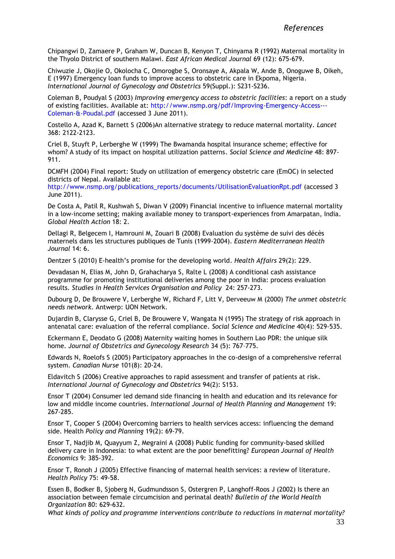Chipangwi D, Zamaere P, Graham W, Duncan B, Kenyon T, Chinyama R (1992) Maternal mortality in the Thyolo District of southern Malawi. *East African Medical Journal* 69 (12): 675-679.

Chiwuzie J, Okojie O, Okolocha C, Omorogbe S, Oronsaye A, Akpala W, Ande B, Onoguwe B, Oikeh, E (1997) Emergency loan funds to improve access to obstetric care in Ekpoma, Nigeria. *International Journal of Gynecology and Obstetrics* 59(Suppl.): S231-S236.

Coleman B, Poudyal S (2003) *Improving emergency access to obstetric facilities*: a report on a study of existing facilities. Available at: [http://www.nsmp.org/pdf/Improving-Emergency-Access---](http://www.nsmp.org/pdf/Improving-Emergency-Access---Coleman-&-Poudal.pdf) [Coleman-&-Poudal.pdf](http://www.nsmp.org/pdf/Improving-Emergency-Access---Coleman-&-Poudal.pdf) (accessed 3 June 2011).

Costello A, Azad K, Barnett S (2006)An alternative strategy to reduce maternal mortality. *Lancet* 368: 2122-2123.

Criel B, Stuyft P, Lerberghe W (1999) The Bwamanda hospital insurance scheme; effective for whom? A study of its impact on hospital utilization patterns. *Social Science and Medicine* 48: 897- 911.

DCMFH (2004) Final report: Study on utilization of emergency obstetric care (EmOC) in selected districts of Nepal. Available at:

[http://www.nsmp.org/publications\\_reports/documents/UtilisationEvaluationRpt.pdf](http://www.nsmp.org/publications_reports/documents/UtilisationEvaluationRpt.pdf) (accessed 3 June 2011).

De Costa A, Patil R, Kushwah S, Diwan V (2009) Financial incentive to influence maternal mortality in a low-income setting; making available money to transport-experiences from Amarpatan, India. *Global Health Action* 18: 2.

Dellagi R, Belgecem I, Hamrouni M, Zouari B (2008) Evaluation du système de suivi des décès maternels dans les structures publiques de Tunis (1999-2004). *Eastern Mediterranean Health Journal* 14: 6.

Dentzer S (2010) E-health's promise for the developing world. *Health Affairs* 29(2): 229.

Devadasan N, Elias M, John D, Grahacharya S, Ralte L (2008) A conditional cash assistance programme for promoting institutional deliveries among the poor in India: process evaluation results. *Studies in Health Services Organisation and Policy* 24: 257-273.

Dubourg D, De Brouwere V, Lerberghe W, Richard F, Litt V, Derveeuw M (2000) *The unmet obstetric needs network*. Antwerp: UON Network.

Dujardin B, Clarysse G, Criel B, De Brouwere V, Wangata N (1995) The strategy of risk approach in antenatal care: evaluation of the referral compliance. *Social Science and Medicine* 40(4): 529-535.

Eckermann E, Deodato G (2008) Maternity waiting homes in Southern Lao PDR: the unique silk home. *Journal of Obstetrics and Gynecology Research* 34 (5): 767–775.

Edwards N, Roelofs S (2005) Participatory approaches in the co-design of a comprehensive referral system. *Canadian Nurse* 101(8): 20-24.

Eldavitch S (2006) Creative approaches to rapid assessment and transfer of patients at risk. *International Journal of Gynecology and Obstetrics* 94(2): S153.

Ensor T (2004) Consumer led demand side financing in health and education and its relevance for low and middle income countries. *International Journal of Health Planning and Management* 19: 267-285.

Ensor T, Cooper S (2004) Overcoming barriers to health services access: influencing the demand side. Health *Policy and Planning* 19(2): 69-79.

Ensor T, Nadjib M, Quayyum Z, Megraini A (2008) Public funding for community-based skilled delivery care in Indonesia: to what extent are the poor benefitting? *European Journal of Health Economics* 9: 385-392.

Ensor T, Ronoh J (2005) Effective financing of maternal health services: a review of literature. *Health Policy* 75: 49-58.

Essen B, Bodker B, Sjoberg N, Gudmundsson S, Ostergren P, Langhoff-Roos J (2002) Is there an association between female circumcision and perinatal death? *Bulletin of the World Health Organization* 80: 629-632.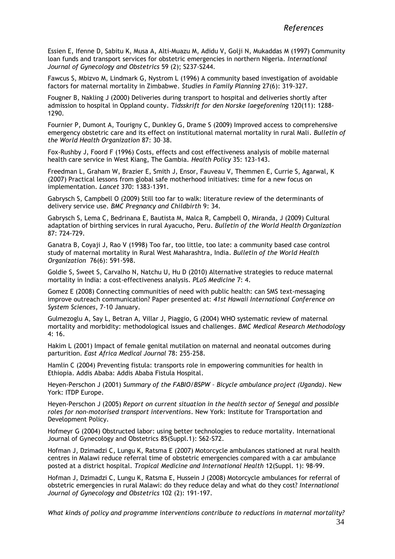Essien E, Ifenne D, Sabitu K, Musa A, Alti-Muazu M, Adidu V, Golji N, Mukaddas M (1997) Community loan funds and transport services for obstetric emergencies in northern Nigeria. *International Journal of Gynecology and Obstetrics* 59 (2); S237-S244.

Fawcus S, Mbizvo M, Lindmark G, Nystrom L (1996) A community based investigation of avoidable factors for maternal mortality in Zimbabwe. *Studies in Family Planning* 27(6): 319-327.

Fougner B, Nakling J (2000) Deliveries during transport to hospital and deliveries shortly after admission to hospital in Oppland county. *Tidsskrift for den Norske laegeforening* 120(11): 1288- 1290.

Fournier P, Dumont A, Tourigny C, Dunkley G, Drame S (2009) Improved access to comprehensive emergency obstetric care and its effect on institutional maternal mortality in rural Mali. *Bulletin of the World Health Organization* 87: 30–38.

Fox-Rushby J, Foord F (1996) Costs, effects and cost effectiveness analysis of mobile maternal health care service in West Kiang, The Gambia. *Health Policy* 35: 123-143.

Freedman L, Graham W, Brazier E, Smith J, Ensor, Fauveau V, Themmen E, Currie S, Agarwal, K (2007) Practical lessons from global safe motherhood initiatives: time for a new focus on implementation. *Lancet* 370: 1383-1391.

Gabrysch S, Campbell O (2009) Still too far to walk: literature review of the determinants of delivery service use. *BMC Pregnancy and Childbirth* 9: 34.

Gabrysch S, Lema C, Bedrinana E, Bautista M, Malca R, Campbell O, Miranda, J (2009) Cultural adaptation of birthing services in rural Ayacucho, Peru. *Bulletin of the World Health Organization* 87: 724-729.

Ganatra B, Coyaji J, Rao V (1998) Too far, too little, too late: a community based case control study of maternal mortality in Rural West Maharashtra, India. *Bulletin of the World Health Organization* 76(6): 591-598.

Goldie S, Sweet S, Carvalho N, Natchu U, Hu D (2010) Alternative strategies to reduce maternal mortality in India: a cost-effectiveness analysis. *PLoS Medicine* 7: 4.

Gomez E (2008) Connecting communities of need with public health: can SMS text-messaging improve outreach communication? Paper presented at: *41st Hawaii International Conference on System Sciences*, 7-10 January.

Gulmezoglu A, Say L, Betran A, Villar J, Piaggio, G (2004) WHO systematic review of maternal mortality and morbidity: methodological issues and challenges. *BMC Medical Research Methodology* 4: 16.

Hakim L (2001) Impact of female genital mutilation on maternal and neonatal outcomes during parturition. *East Africa Medical Journal* 78: 255-258.

Hamlin C (2004) Preventing fistula: transports role in empowering communities for health in Ethiopia. Addis Ababa: Addis Ababa Fistula Hospital.

Heyen-Perschon J (2001) *Summary of the FABIO/BSPW – Bicycle ambulance project (Uganda)*. New York: ITDP Europe.

Heyen-Perschon J (2005) *Report on current situation in the health sector of Senegal and possible roles for non-motorised transport interventions*. New York: Institute for Transportation and Development Policy.

Hofmeyr G (2004) Obstructed labor: using better technologies to reduce mortality. International Journal of Gynecology and Obstetrics 85(Suppl.1): S62-S72.

Hofman J, Dzimadzi C, Lungu K, Ratsma E (2007) Motorcycle ambulances stationed at rural health centres in Malawi reduce referral time of obstetric emergencies compared with a car ambulance posted at a district hospital. *Tropical Medicine and International Health* 12(Suppl. 1): 98-99.

Hofman J, Dzimadzi C, Lungu K, Ratsma E, Hussein J (2008) Motorcycle ambulances for referral of obstetric emergencies in rural Malawi: do they reduce delay and what do they cost? *International Journal of Gynecology and Obstetrics* 102 (2): 191-197.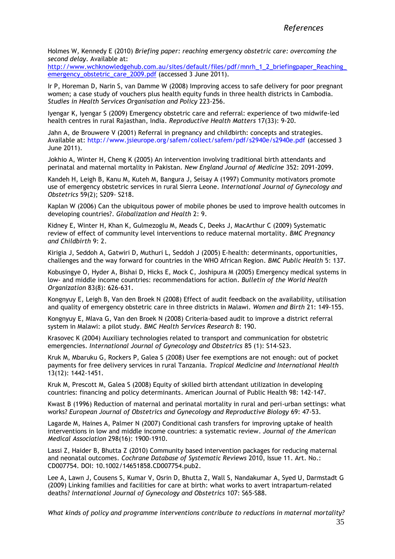Holmes W, Kennedy E (2010) *Briefing paper: reaching emergency obstetric care: overcoming the second delay*. Available at:

http://www.wchknowledgehub.com.au/sites/default/files/pdf/mnrh\_1\_2\_briefingpaper\_Reaching [emergency\\_obstetric\\_care\\_2009.pdf](http://www.wchknowledgehub.com.au/sites/default/files/pdf/mnrh_1_2_briefingpaper_Reaching_emergency_obstetric_care_2009.pdf) (accessed 3 June 2011).

Ir P, Horeman D, Narin S, van Damme W (2008) Improving access to safe delivery for poor pregnant women; a case study of vouchers plus health equity funds in three health districts in Cambodia. *Studies in Health Services Organisation and Policy* 223-256.

Iyengar K, Iyengar S (2009) Emergency obstetric care and referral: experience of two midwife-led health centres in rural Rajasthan, India. *Reproductive Health Matters* 17(33): 9-20.

Jahn A, de Brouwere V (2001) Referral in pregnancy and childbirth: concepts and strategies. Available at:<http://www.jsieurope.org/safem/collect/safem/pdf/s2940e/s2940e.pdf> (accessed 3 June 2011).

Jokhio A, Winter H, Cheng K (2005) An intervention involving traditional birth attendants and perinatal and maternal mortality in Pakistan. *New England Journal of Medicine* 352: 2091-2099.

Kandeh H, Leigh B, Kanu M, Kuteh M, Bangura J, Seisay A (1997) Community motivators promote use of emergency obstetric services in rural Sierra Leone. *International Journal of Gynecology and Obstetrics* 59(2); S209- S218.

Kaplan W (2006) Can the ubiquitous power of mobile phones be used to improve health outcomes in developing countries?. *Globalization and Health* 2: 9.

Kidney E, Winter H, Khan K, Gulmezoglu M, Meads C, Deeks J, MacArthur C (2009) Systematic review of effect of community level interventions to reduce maternal mortality. *BMC Pregnancy and Childbirth* 9: 2.

Kirigia J, Seddoh A, Gatwiri D, Muthuri L, Seddoh J (2005) E-health: determinants, opportunities, challenges and the way forward for countries in the WHO African Region. *BMC Public Health* 5: 137.

Kobusingye O, Hyder A, Bishai D, Hicks E, Mock C, Joshipura M (2005) Emergency medical systems in low- and middle income countries: recommendations for action. *Bulletin of the World Health Organization* 83(8): 626-631.

Kongnyuy E, Leigh B, Van den Broek N (2008) Effect of audit feedback on the availability, utilisation and quality of emergency obstetric care in three districts in Malawi. *Women and Birth* 21: 149-155.

Kongnyuy E, Mlava G, Van den Broek N (2008) Criteria-based audit to improve a district referral system in Malawi: a pilot study. *BMC Health Services Research* 8: 190.

Krasovec K (2004) Auxiliary technologies related to transport and communication for obstetric emergencies. *International Journal of Gynecology and Obstetrics* 85 (1): S14-S23.

Kruk M, Mbaruku G, Rockers P, Galea S (2008) User fee exemptions are not enough: out of pocket payments for free delivery services in rural Tanzania. *Tropical Medicine and International Health* 13(12): 1442-1451.

Kruk M, Prescott M, Galea S (2008) Equity of skilled birth attendant utilization in developing countries: financing and policy determinants. American Journal of Public Health 98: 142-147.

Kwast B (1996) Reduction of maternal and perinatal mortality in rural and peri-urban settings: what works? *European Journal of Obstetrics and Gynecology and Reproductive Biology* 69: 47-53.

Lagarde M, Haines A, Palmer N (2007) Conditional cash transfers for improving uptake of health interventions in low and middle income countries: a systematic review. *Journal of the American Medical Association* 298(16): 1900-1910.

Lassi Z, Haider B, Bhutta Z (2010) Community based intervention packages for reducing maternal and neonatal outcomes. *Cochrane Database of Systematic Reviews* 2010, Issue 11. Art. No.: CD007754. DOI: 10.1002/14651858.CD007754.pub2.

Lee A, Lawn J, Cousens S, Kumar V, Osrin D, Bhutta Z, Wall S, Nandakumar A, Syed U, Darmstadt G (2009) Linking families and facilities for care at birth: what works to avert intrapartum-related deaths? *International Journal of Gynecology and Obstetrics* 107: S65-S88.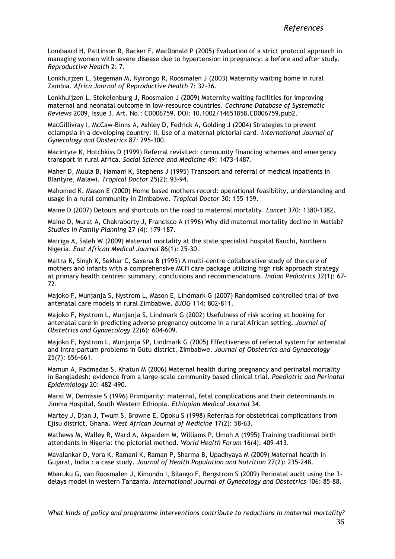Lombaard H, Pattinson R, Backer F, MacDonald P (2005) Evaluation of a strict protocol approach in managing women with severe disease due to hypertension in pregnancy: a before and after study. *Reproductive Health* 2: 7.

Lonkhuijzen L, Stegeman M, Nyirongo R, Roosmalen J (2003) Maternity waiting home in rural Zambia. *Africa Journal of Reproductive Health* 7: 32-36.

Lonkhuijzen L, Stekelenburg J, Roosmalen J (2009) Maternity waiting facilities for improving maternal and neonatal outcome in low-resource countries. *Cochrane Database of Systematic Reviews* 2009, Issue 3. Art. No.: CD006759. DOI: 10.1002/14651858.CD006759.pub2.

MacGillivray I, McCaw-Binns A, Ashley D, Fedrick A, Golding J (2004) Strategies to prevent eclampsia in a developing country: II. Use of a maternal pictorial card. *International Journal of Gynecology and Obstetrics* 87: 295-300.

Macintyre K, Hotchkiss D (1999) Referral revisited: community financing schemes and emergency transport in rural Africa. *Social Science and Medicine* 49: 1473-1487.

Maher D, Muula B, Hamani K, Stephens J (1995) Transport and referral of medical inpatients in Blantyre, Malawi. *Tropical Doctor* 25(2): 93-94.

Mahomed K, Mason E (2000) Home based mothers record: operational feasibility, understanding and usage in a rural community in Zimbabwe. *Tropical Doctor* 30: 155-159.

Maine D (2007) Detours and shortcuts on the road to maternal mortality. *Lancet* 370: 1380-1382.

Maine D, Murat A, Chakraborty J, Francisco A (1996) Why did maternal mortality decline in Matlab? *Studies in Family Planning* 27 (4): 179-187.

Mairiga A, Saleh W (2009) Maternal mortality at the state specialist hospital Bauchi, Northern Nigeria. *East African Medical Journal* 86(1): 25-30.

Maitra K, Singh K, Sekhar C, Saxena B (1995) A multi-centre collaborative study of the care of mothers and infants with a comprehensive MCH care package utilizing high risk approach strategy at primary health centres: summary, conclusions and recommendations. *Indian Pediatrics* 32(1): 67- 72.

Majoko F, Munjanja S, Nystrom L, Mason E, Lindmark G (2007) Randomised controlled trial of two antenatal care models in rural Zimbabwe. *BJOG* 114: 802-811.

Majoko F, Nystrom L, Munjanja S, Lindmark G (2002) Usefulness of risk scoring at booking for antenatal care in predicting adverse pregnancy outcome in a rural African setting. *Journal of Obstetrics and Gynaecology* 22(6): 604-609.

Majoko F, Nystrom L, Munjanja SP, Lindmark G (2005) Effectiveness of referral system for antenatal and intra-partum problems in Gutu district, Zimbabwe. *Journal of Obstetrics and Gynaecology* 25(7): 656-661.

Mamun A, Padmadas S, Khatun M (2006) Maternal health during pregnancy and perinatal mortality in Bangladesh: evidence from a large-scale community based clinical trial. *Paediatric and Perinatal Epidemiology* 20: 482-490.

Marai W, Demissie S (1996) Primiparity: maternal, fetal complications and their determinants in Jimma Hospital, South Western Ethiopia. *Ethiopian Medical Journal* 34.

Martey J, Djan J, Twum S, Browne E, Opoku S (1998) Referrals for obstetrical complications from Ejisu district, Ghana. *West African Journal of Medicine* 17(2): 58-63.

Mathews M, Walley R, Ward A, Akpaidem M, Williams P, Umoh A (1995) Training traditional birth attendants in Nigeria: the pictorial method. *World Health Forum* 16(4): 409-413.

Mavalankar D, Vora K, Ramani K, Raman P, Sharma B, Upadhyaya M (2009) Maternal health in Gujarat, India : a case study. *Journal of Health Population and Nutrition* 27(2): 235-248.

Mbaruku G, van Roosmalen J, Kimondo I, Bilango F, Bergstrom S (2009) Perinatal audit using the 3 delays model in western Tanzania. *International Journal of Gynecology and Obstetrics* 106: 85–88.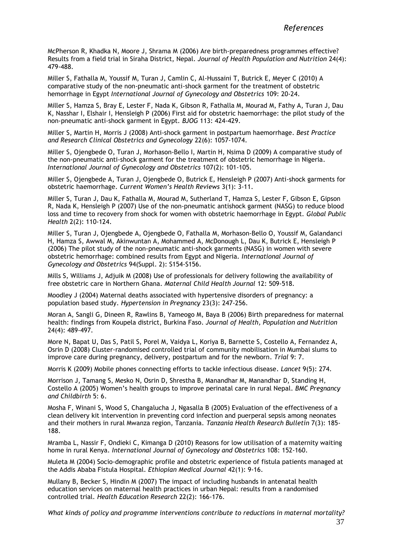McPherson R, Khadka N, Moore J, Shrama M (2006) Are birth-preparedness programmes effective? Results from a field trial in Siraha District, Nepal. *Journal of Health Population and Nutrition* 24(4): 479-488.

Miller S, Fathalla M, Youssif M, Turan J, Camlin C, Al-Hussaini T, Butrick E, Meyer C (2010) A comparative study of the non-pneumatic anti-shock garment for the treatment of obstetric hemorrhage in Egypt *International Journal of Gynecology and Obstetrics* 109: 20-24.

Miller S, Hamza S, Bray E, Lester F, Nada K, Gibson R, Fathalla M, Mourad M, Fathy A, Turan J, Dau K, Nasshar I, Elshair I, Hensleigh P (2006) First aid for obstetric haemorrhage: the pilot study of the non-pneumatic anti-shock garment in Egypt. *BJOG* 113: 424-429.

Miller S, Martin H, Morris J (2008) Anti-shock garment in postpartum haemorrhage. *Best Practice and Research Clinical Obstetrics and Gynecology* 22(6): 1057-1074.

Miller S, Ojengbede O, Turan J, Morhason-Bello I, Martin H, Nsima D (2009) A comparative study of the non-pneumatic anti-shock garment for the treatment of obstetric hemorrhage in Nigeria. *International Journal of Gynecology and Obstetrics* 107(2): 101-105.

Miller S, Ojengbede A, Turan J, Ojengbede O, Butrick E, Hensleigh P (2007) Anti-shock garments for obstetric haemorrhage. *Current Women's Health Reviews* 3(1): 3-11.

Miller S, Turan J, Dau K, Fathalla M, Mourad M, Sutherland T, Hamza S, Lester F, Gibson E, Gipson R, Nada K, Hensleigh P (2007) Use of the non-pneumatic antishock garment (NASG) to reduce blood loss and time to recovery from shock for women with obstetric haemorrhage in Egypt. *Global Public Health* 2(2): 110-124.

Miller S, Turan J, Ojengbede A, Ojengbede O, Fathalla M, Morhason-Bello O, Youssif M, Galandanci H, Hamza S, Awwal M, Akinwuntan A, Mohammed A, McDonough L, Dau K, Butrick E, Hensleigh P (2006) The pilot study of the non-pneumatic anti-shock garments (NASG) in women with severe obstetric hemorrhage: combined results from Egypt and Nigeria. *International Journal of Gynecology and Obstetrics* 94(Suppl. 2): S154-S156.

Mills S, Williams J, Adjuik M (2008) Use of professionals for delivery following the availability of free obstetric care in Northern Ghana. *Maternal Child Health Journal* 12: 509-518.

Moodley J (2004) Maternal deaths associated with hypertensive disorders of pregnancy: a population based study. *Hypertension in Pregnancy* 23(3): 247-256.

Moran A, Sangli G, Dineen R, Rawlins B, Yameogo M, Baya B (2006) Birth preparedness for maternal health: findings from Koupela district, Burkina Faso. *Journal of Health, Population and Nutrition* 24(4): 489-497.

More N, Bapat U, Das S, Patil S, Porel M, Vaidya L, Koriya B, Barnette S, Costello A, Fernandez A, Osrin D (2008) Cluster-randomised controlled trial of community mobilisation in Mumbai slums to improve care during pregnancy, delivery, postpartum and for the newborn. *Trial* 9: 7.

Morris K (2009) Mobile phones connecting efforts to tackle infectious disease. *Lancet* 9(5): 274.

Morrison J, Tamang S, Mesko N, Osrin D, Shrestha B, Manandhar M, Manandhar D, Standing H, Costello A (2005) Women's health groups to improve perinatal care in rural Nepal. *BMC Pregnancy and Childbirth* 5: 6.

Mosha F, Winani S, Wood S, Changalucha J, Ngasalla B (2005) Evaluation of the effectiveness of a clean delivery kit intervention in preventing cord infection and puerperal sepsis among neonates and their mothers in rural Mwanza region, Tanzania. *Tanzania Health Research Bulletin* 7(3): 185- 188.

Mramba L, Nassir F, Ondieki C, Kimanga D (2010) Reasons for low utilisation of a maternity waiting home in rural Kenya. *International Journal of Gynecology and Obstetrics* 108: 152-160.

Muleta M (2004) Socio-demographic profile and obstetric experience of fistula patients managed at the Addis Ababa Fistula Hospital. *Ethiopian Medical Journal* 42(1): 9-16.

Mullany B, Becker S, Hindin M (2007) The impact of including husbands in antenatal health education services on maternal health practices in urban Nepal: results from a randomised controlled trial. *Health Education Research* 22(2): 166-176.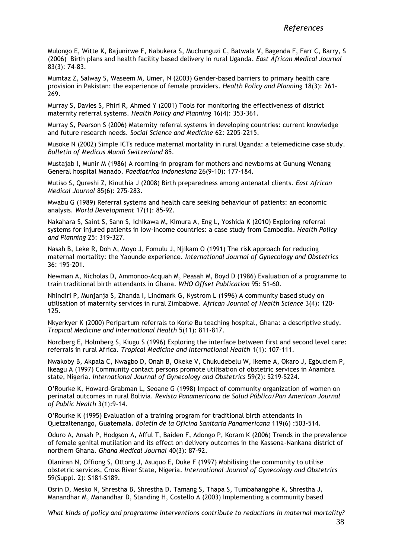Mulongo E, Witte K, Bajunirwe F, Nabukera S, Muchunguzi C, Batwala V, Bagenda F, Farr C, Barry, S (2006) Birth plans and health facility based delivery in rural Uganda. *East African Medical Journal* 83(3): 74-83.

Mumtaz Z, Salway S, Waseem M, Umer, N (2003) Gender-based barriers to primary health care provision in Pakistan: the experience of female providers. *Health Policy and Planning* 18(3): 261- 269.

Murray S, Davies S, Phiri R, Ahmed Y (2001) Tools for monitoring the effectiveness of district maternity referral systems. *Health Policy and Planning* 16(4): 353-361.

Murray S, Pearson S (2006) Maternity referral systems in developing countries: current knowledge and future research needs. *Social Science and Medicine* 62: 2205-2215.

Musoke N (2002) Simple ICTs reduce maternal mortality in rural Uganda: a telemedicine case study. *Bulletin of Medicus Mundi Switzerland* 85.

Mustajab I, Munir M (1986) A rooming-in program for mothers and newborns at Gunung Wenang General hospital Manado. *Paediatrica Indonesiana* 26(9-10): 177-184.

Mutiso S, Qureshi Z, Kinuthia J (2008) Birth preparedness among antenatal clients. *East African Medical Journal* 85(6): 275-283.

Mwabu G (1989) Referral systems and health care seeking behaviour of patients: an economic analysis*. World Development* 17(1): 85-92.

Nakahara S, Saint S, Sann S, Ichikawa M, Kimura A, Eng L, Yoshida K (2010) Exploring referral systems for injured patients in low-income countries: a case study from Cambodia. *Health Policy and Planning* 25: 319-327.

Nasah B, Leke R, Doh A, Moyo J, Fomulu J, Njikam O (1991) The risk approach for reducing maternal mortality: the Yaounde experience. *International Journal of Gynecology and Obstetrics* 36: 195-201.

Newman A, Nicholas D, Ammonoo-Acquah M, Peasah M, Boyd D (1986) Evaluation of a programme to train traditional birth attendants in Ghana. *WHO Offset Publication* 95: 51-60.

Nhindiri P, Munjanja S, Zhanda I, Lindmark G, Nystrom L (1996) A community based study on utilisation of maternity services in rural Zimbabwe. *African Journal of Health Science* 3(4): 120- 125.

Nkyerkyer K (2000) Peripartum referrals to Korle Bu teaching hospital, Ghana: a descriptive study. *Tropical Medicine and International Health* 5(11): 811-817.

Nordberg E, Holmberg S, Kiugu S (1996) Exploring the interface between first and second level care: referrals in rural Africa. *Tropical Medicine and International Health* 1(1): 107-111.

Nwakoby B, Akpala C, Nwagbo D, Onah B, Okeke V, Chukudebelu W, Ikeme A, Okaro J, Egbuciem P, Ikeagu A (1997) Community contact persons promote utilisation of obstetric services in Anambra state, Nigeria. *International Journal of Gynecology and Obstetrics* 59(2): S219-S224.

O'Rourke K, Howard-Grabman L, Seoane G (1998) Impact of community organization of women on perinatal outcomes in rural Bolivia. *Revista Panamericana de Salud Pública/Pan American Journal of Public Health* 3(1):9-14.

O'Rourke K (1995) Evaluation of a training program for traditional birth attendants in Quetzaltenango, Guatemala. *Boletín de la Oficina Sanitaria Panamericana* 119(6) :503-514.

Oduro A, Ansah P, Hodgson A, Afful T, Baiden F, Adongo P, Koram K (2006) Trends in the prevalence of female genital mutilation and its effect on delivery outcomes in the Kassena-Nankana district of northern Ghana. *Ghana Medical Journal* 40(3): 87-92.

Olaniran N, Offiong S, Ottong J, Asuquo E, Duke F (1997) Mobilising the community to utilise obstetric services, Cross River State, Nigeria. *International Journal of Gynecology and Obstetrics* 59(Suppl. 2): S181-S189.

Osrin D, Mesko N, Shrestha B, Shrestha D, Tamang S, Thapa S, Tumbahangphe K, Shrestha J, Manandhar M, Manandhar D, Standing H, Costello A (2003) Implementing a community based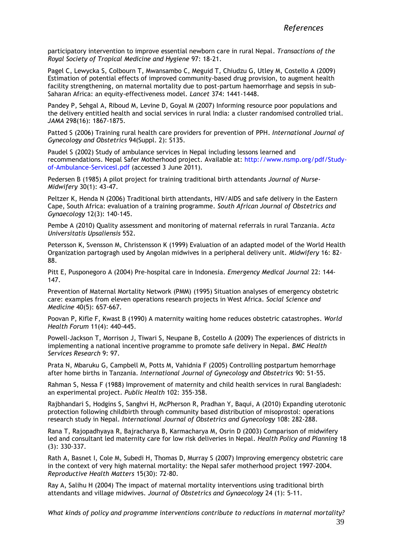participatory intervention to improve essential newborn care in rural Nepal. *Transactions of the Royal Society of Tropical Medicine and Hygiene* 97: 18-21.

Pagel C, Lewycka S, Colbourn T, Mwansambo C, Meguid T, Chiudzu G, Utley M, Costello A (2009) Estimation of potential effects of improved community-based drug provision, to augment health facility strengthening, on maternal mortality due to post-partum haemorrhage and sepsis in sub-Saharan Africa: an equity-effectiveness model. *Lancet* 374: 1441-1448.

Pandey P, Sehgal A, Riboud M, Levine D, Goyal M (2007) Informing resource poor populations and the delivery entitled health and social services in rural India: a cluster randomised controlled trial. *JAMA* 298(16): 1867-1875.

Patted S (2006) Training rural health care providers for prevention of PPH. *International Journal of Gynecology and Obstetrics* 94(Suppl. 2): S135.

Paudel S (2002) Study of ambulance services in Nepal including lessons learned and recommendations. Nepal Safer Motherhood project. Available at: [http://www.nsmp.org/pdf/Study](http://www.nsmp.org/pdf/Study-of-Ambulance-Servicesl.pdf)[of-Ambulance-Servicesl.pdf](http://www.nsmp.org/pdf/Study-of-Ambulance-Servicesl.pdf) (accessed 3 June 2011).

Pedersen B (1985) A pilot project for training traditional birth attendants *Journal of Nurse-Midwifery* 30(1): 43-47.

Peltzer K, Henda N (2006) Traditional birth attendants, HIV/AIDS and safe delivery in the Eastern Cape, South Africa: evaluation of a training programme. *South African Journal of Obstetrics and Gynaecology* 12(3): 140-145.

Pembe A (2010) Quality assessment and monitoring of maternal referrals in rural Tanzania. *Acta Universitatis Upsaliensis* 552.

Petersson K, Svensson M, Christensson K (1999) Evaluation of an adapted model of the World Health Organization partogragh used by Angolan midwives in a peripheral delivery unit. *Midwifery* 16: 82- 88.

Pitt E, Pusponegoro A (2004) Pre-hospital care in Indonesia. *Emergency Medical Journal* 22: 144- 147.

Prevention of Maternal Mortality Network (PMM) (1995) Situation analyses of emergency obstetric care: examples from eleven operations research projects in West Africa. *Social Science and Medicine* 40(5): 657-667.

Poovan P, Kifle F, Kwast B (1990) A maternity waiting home reduces obstetric catastrophes. *World Health Forum* 11(4): 440-445.

Powell-Jackson T, Morrison J, Tiwari S, Neupane B, Costello A (2009) The experiences of districts in implementing a national incentive programme to promote safe delivery in Nepal. *BMC Health Services Research* 9: 97.

Prata N, Mbaruku G, Campbell M, Potts M, Vahidnia F (2005) Controlling postpartum hemorrhage after home births in Tanzania. *International Journal of Gynecology and Obstetrics* 90: 51-55.

Rahman S, Nessa F (1988) Improvement of maternity and child health services in rural Bangladesh: an experimental project. *Public Health* 102: 355-358.

Rajbhandari S, Hodgins S, Sanghvi H, McPherson R, Pradhan Y, Baqui, A (2010) Expanding uterotonic protection following childbirth through community based distribution of misoprostol: operations research study in Nepal. *International Journal of Obstetrics and Gynecology* 108: 282-288.

Rana T, Rajopadhyaya R, Bajracharya B, Karmacharya M, Osrin D (2003) Comparison of midwifery led and consultant led maternity care for low risk deliveries in Nepal. *Health Policy and Planning* 18 (3): 330-337.

Rath A, Basnet I, Cole M, Subedi H, Thomas D, Murray S (2007) Improving emergency obstetric care in the context of very high maternal mortality: the Nepal safer motherhood project 1997-2004. *Reproductive Health Matters* 15(30): 72-80.

Ray A, Salihu H (2004) The impact of maternal mortality interventions using traditional birth attendants and village midwives. *Journal of Obstetrics and Gynaecology* 24 (1): 5-11.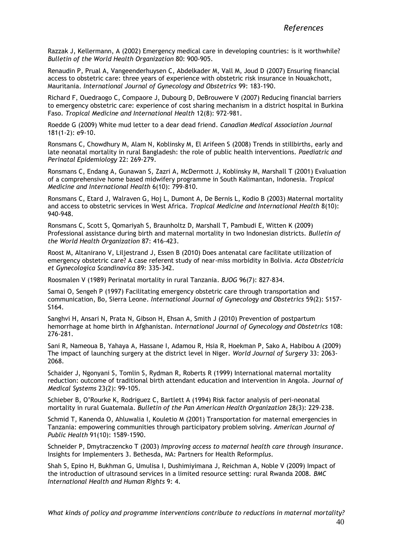Razzak J, Kellermann, A (2002) Emergency medical care in developing countries: is it worthwhile? *Bulletin of the World Health Organization* 80: 900-905.

Renaudin P, Prual A, Vangeenderhuysen C, Abdelkader M, Vall M, Joud D (2007) Ensuring financial access to obstetric care: three years of experience with obstetric risk insurance in Nouakchott, Mauritania. *International Journal of Gynecology and Obstetrics* 99: 183-190.

Richard F, Ouedraogo C, Compaore J, Dubourg D, DeBrouwere V (2007) Reducing financial barriers to emergency obstetric care: experience of cost sharing mechanism in a district hospital in Burkina Faso. *Tropical Medicine and International Health* 12(8): 972-981.

Roedde G (2009) White mud letter to a dear dead friend. *Canadian Medical Association Journal* 181(1-2): e9-10.

Ronsmans C, Chowdhury M, Alam N, Koblinsky M, El Arifeen S (2008) Trends in stillbirths, early and late neonatal mortality in rural Bangladesh: the role of public health interventions. *Paediatric and Perinatal Epidemiology* 22: 269-279.

Ronsmans C, Endang A, Gunawan S, Zazri A, McDermott J, Koblinsky M, Marshall T (2001) Evaluation of a comprehensive home based midwifery programme in South Kalimantan, Indonesia. *Tropical Medicine and International Health* 6(10): 799-810.

Ronsmans C, Etard J, Walraven G, Hoj L, Dumont A, De Bernis L, Kodio B (2003) Maternal mortality and access to obstetric services in West Africa. *Tropical Medicine and International Health* 8(10): 940-948.

Ronsmans C, Scott S, Qomariyah S, Braunholtz D, Marshall T, Pambudi E, Witten K (2009) Professional assistance during birth and maternal mortality in two Indonesian districts. *Bulletin of the World Health Organization* 87: 416-423.

Roost M, Altanirano V, Liljestrand J, Essen B (2010) Does antenatal care facilitate utilization of emergency obstetric care? A case referent study of near-miss morbidity in Bolivia. *Acta Obstetricia et Gynecologica Scandinavica* 89: 335-342.

Roosmalen V (1989) Perinatal mortality in rural Tanzania. *BJOG* 96(7): 827-834.

Samai O, Sengeh P (1997) Facilitating emergency obstetric care through transportation and communication, Bo, Sierra Leone. *International Journal of Gynecology and Obstetrics* 59(2): S157- S164.

Sanghvi H, Ansari N, Prata N, Gibson H, Ehsan A, Smith J (2010) Prevention of postpartum hemorrhage at home birth in Afghanistan. *International Journal of Gynecology and Obstetrics* 108: 276-281.

Sani R, Nameoua B, Yahaya A, Hassane I, Adamou R, Hsia R, Hoekman P, Sako A, Habibou A (2009) The impact of launching surgery at the district level in Niger. *World Journal of Surgery* 33: 2063- 2068.

Schaider J, Ngonyani S, Tomlin S, Rydman R, Roberts R (1999) International maternal mortality reduction: outcome of traditional birth attendant education and intervention in Angola. *Journal of Medical Systems* 23(2): 99-105.

Schieber B, O'Rourke K, Rodriguez C, Bartlett A (1994) Risk factor analysis of peri-neonatal mortality in rural Guatemala. *Bulletin of the Pan American Health Organization* 28(3): 229-238.

Schmid T, Kanenda O, Ahluwalia I, Kouletio M (2001) Transportation for maternal emergencies in Tanzania: empowering communities through participatory problem solving. *American Journal of Public Health* 91(10): 1589-1590.

Schneider P, Dmytraczencko T (2003) *Improving access to maternal health care through insurance*. Insights for Implementers 3. Bethesda, MA: Partners for Health Reform*plus*.

Shah S, Epino H, Bukhman G, Umulisa I, Dushimiyimana J, Reichman A, Noble V (2009) Impact of the introduction of ultrasound services in a limited resource setting: rural Rwanda 2008. *BMC International Health and Human Rights* 9: 4.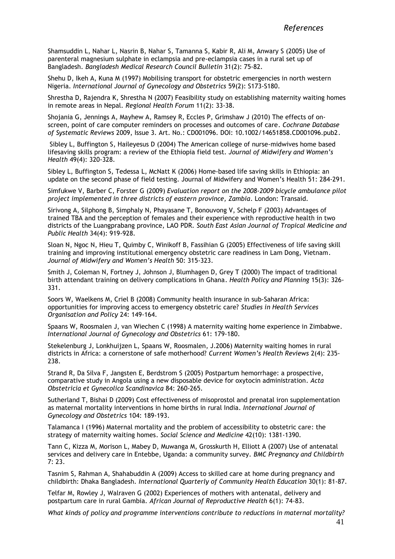Shamsuddin L, Nahar L, Nasrin B, Nahar S, Tamanna S, Kabir R, Ali M, Anwary S (2005) Use of parenteral magnesium sulphate in eclampsia and pre-eclampsia cases in a rural set up of Bangladesh. *Bangladesh Medical Research Council Bulletin* 31(2): 75-82.

Shehu D, Ikeh A, Kuna M (1997) Mobilising transport for obstetric emergencies in north western Nigeria. *International Journal of Gynecology and Obstetrics* 59(2): S173-S180.

Shrestha D, Rajendra K, Shrestha N (2007) Feasibility study on establishing maternity waiting homes in remote areas in Nepal. *Regional Health Forum* 11(2): 33-38.

Shojania G, Jennings A, Mayhew A, Ramsey R, Eccles P, Grimshaw J (2010) The effects of onscreen, point of care computer reminders on processes and outcomes of care. *Cochrane Database of Systematic Reviews* 2009, Issue 3. Art. No.: CD001096. DOI: 10.1002/14651858.CD001096.pub2.

Sibley L, Buffington S, Haileyesus D (2004) The American college of nurse-midwives home based lifesaving skills program: a review of the Ethiopia field test. *Journal of Midwifery and Women's Health* 49(4): 320-328.

Sibley L, Buffington S, Tedessa L, McNatt K (2006) Home-based life saving skills in Ethiopia: an update on the second phase of field testing. Journal of Midwifery and Women's Health 51: 284-291.

Simfukwe V, Barber C, Forster G (2009) *Evaluation report on the 2008-2009 bicycle ambulance pilot project implemented in three districts of eastern province, Zambia*. London: Transaid.

Sirivong A, Silphong B, Simphaly N, Phayasane T, Bonouvong V, Schelp F (2003) Advantages of trained TBA and the perception of females and their experience with reproductive health in two districts of the Luangprabang province, LAO PDR. *South East Asian Journal of Tropical Medicine and Public Health* 34(4): 919-928.

Sloan N, Ngoc N, Hieu T, Quimby C, Winikoff B, Fassihian G (2005) Effectiveness of life saving skill training and improving institutional emergency obstetric care readiness in Lam Dong, Vietnam. *Journal of Midwifery and Women's Health* 50: 315-323.

Smith J, Coleman N, Fortney J, Johnson J, Blumhagen D, Grey T (2000) The impact of traditional birth attendant training on delivery complications in Ghana. *Health Policy and Planning* 15(3): 326- 331.

Soors W, Waelkens M, Criel B (2008) Community health insurance in sub-Saharan Africa: opportunities for improving access to emergency obstetric care? *Studies in Health Services Organisation and Policy* 24: 149-164.

Spaans W, Roosmalen J, van Wiechen C (1998) A maternity waiting home experience in Zimbabwe. *International Journal of Gynecology and Obstetrics* 61: 179-180.

Stekelenburg J, Lonkhuijzen L, Spaans W, Roosmalen, J.2006) Maternity waiting homes in rural districts in Africa: a cornerstone of safe motherhood? *Current Women's Health Reviews* 2(4): 235- 238.

Strand R, Da Silva F, Jangsten E, Berdstrom S (2005) Postpartum hemorrhage: a prospective, comparative study in Angola using a new disposable device for oxytocin administration. *Acta Obstetricia et Gynecolica Scandinavica* 84: 260-265.

Sutherland T, Bishai D (2009) Cost effectiveness of misoprostol and prenatal iron supplementation as maternal mortality interventions in home births in rural India*. International Journal of Gynecology and Obstetrics* 104: 189-193.

Talamanca I (1996) Maternal mortality and the problem of accessibility to obstetric care: the strategy of maternity waiting homes. *Social Science and Medicine* 42(10): 1381-1390.

Tann C, Kizza M, Morison L, Mabey D, Muwanga M, Grosskurth H, Elliott A (2007) Use of antenatal services and delivery care in Entebbe, Uganda: a community survey. *BMC Pregnancy and Childbirth* 7: 23.

Tasnim S, Rahman A, Shahabuddin A (2009) Access to skilled care at home during pregnancy and childbirth: Dhaka Bangladesh. *International Quarterly of Community Health Education* 30(1): 81-87.

Telfar M, Rowley J, Walraven G (2002) Experiences of mothers with antenatal, delivery and postpartum care in rural Gambia. *African Journal of Reproductive Health* 6(1): 74-83.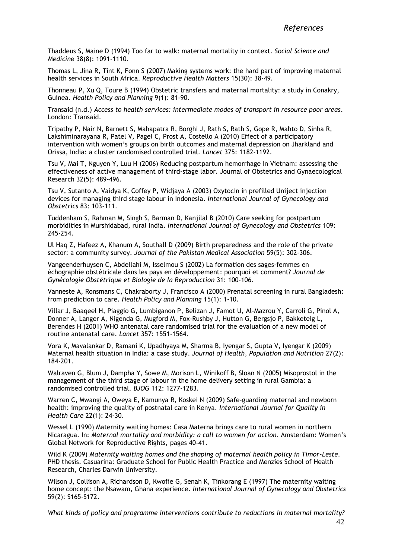Thaddeus S, Maine D (1994) Too far to walk: maternal mortality in context. *Social Science and Medicin*e 38(8): 1091-1110.

Thomas L, Jina R, Tint K, Fonn S (2007) Making systems work: the hard part of improving maternal health services in South Africa. *Reproductive Health Matters* 15(30): 38-49.

Thonneau P, Xu Q, Toure B (1994) Obstetric transfers and maternal mortality: a study in Conakry, Guinea. *Health Policy and Planning* 9(1): 81-90.

Transaid (n.d.) *Access to health services: intermediate modes of transport in resource poor areas*. London: Transaid.

Tripathy P, Nair N, Barnett S, Mahapatra R, Borghi J, Rath S, Rath S, Gope R, Mahto D, Sinha R, Lakshiminarayana R, Patel V, Pagel C, Prost A, Costello A (2010) Effect of a participatory intervention with women's groups on birth outcomes and maternal depression on Jharkland and Orissa, India: a cluster randomised controlled trial. *Lancet* 375: 1182-1192.

Tsu V, Mai T, Nguyen Y, Luu H (2006) Reducing postpartum hemorrhage in Vietnam: assessing the effectiveness of active management of third-stage labor. Journal of Obstetrics and Gynaecological Research 32(5): 489-496.

Tsu V, Sutanto A, Vaidya K, Coffey P, Widjaya A (2003) Oxytocin in prefilled Uniject injection devices for managing third stage labour in Indonesia. *International Journal of Gynecology and Obstetrics* 83: 103-111.

Tuddenham S, Rahman M, Singh S, Barman D, Kanjilal B (2010) Care seeking for postpartum morbidities in Murshidabad, rural India. *International Journal of Gynecology and Obstetrics* 109: 245-254.

Ul Haq Z, Hafeez A, Khanum A, Southall D (2009) Birth preparedness and the role of the private sector: a community survey. *Journal of the Pakistan Medical Association* 59(5): 302-306.

Vangeenderhuysen C, Abdellahi M, Isselmou S (2002) La formation des sages-femmes en échographie obstétricale dans les pays en développement: pourquoi et comment? *Journal de Gynécologie Obstétrique et Biologie de la Reproduction* 31: 100-106.

Vanneste A, Ronsmans C, Chakraborty J, Francisco A (2000) Prenatal screening in rural Bangladesh: from prediction to care. *Health Policy and Planning* 15(1): 1-10.

Villar J, Baaqeel H, Piaggio G, Lumbiganon P, Belizan J, Famot U, Al-Mazrou Y, Carroli G, Pinol A, Donner A, Langer A, Nigenda G, Mugford M, Fox-Rushby J, Hutton G, Bergsjo P, Bakketeig L, Berendes H (2001) WHO antenatal care randomised trial for the evaluation of a new model of routine antenatal care. *Lancet* 357: 1551-1564.

Vora K, Mavalankar D, Ramani K, Upadhyaya M, Sharma B, Iyengar S, Gupta V, Iyengar K (2009) Maternal health situation in India: a case study. *Journal of Health, Population and Nutrition* 27(2): 184-201.

Walraven G, Blum J, Dampha Y, Sowe M, Morison L, Winikoff B, Sloan N (2005) Misoprostol in the management of the third stage of labour in the home delivery setting in rural Gambia: a randomised controlled trial. *BJOG* 112: 1277-1283.

Warren C, Mwangi A, Oweya E, Kamunya R, Koskei N (2009) Safe-guarding maternal and newborn health: improving the quality of postnatal care in Kenya. *International Journal for Quality in Health Care* 22(1): 24-30.

Wessel L (1990) Maternity waiting homes: Casa Materna brings care to rural women in northern Nicaragua. In: *Maternal mortality and morbidity: a call to women for action*. Amsterdam: Women's Global Network for Reproductive Rights, pages 40-41.

Wild K (2009) *Maternity waiting homes and the shaping of maternal health policy in Timor-Leste*. PHD thesis. Casuarina: Graduate School for Public Health Practice and Menzies School of Health Research, Charles Darwin University.

Wilson J, Collison A, Richardson D, Kwofie G, Senah K, Tinkorang E (1997) The maternity waiting home concept: the Nsawam, Ghana experience. *International Journal of Gynecology and Obstetrics* 59(2): S165-S172.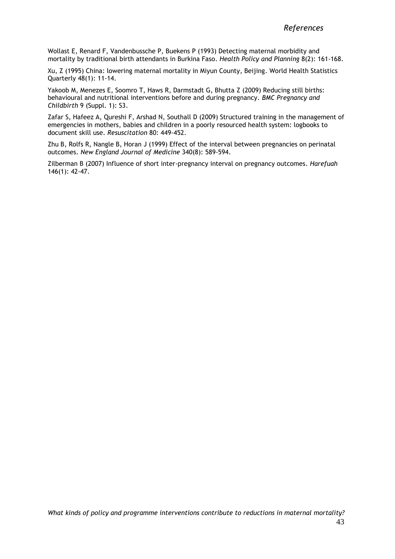Wollast E, Renard F, Vandenbussche P, Buekens P (1993) Detecting maternal morbidity and mortality by traditional birth attendants in Burkina Faso. *Health Policy and Planning* 8(2): 161-168.

Xu, Z (1995) China: lowering maternal mortality in Miyun County, Beijing. World Health Statistics Quarterly 48(1): 11-14.

Yakoob M, Menezes E, Soomro T, Haws R, Darmstadt G, Bhutta Z (2009) Reducing still births: behavioural and nutritional interventions before and during pregnancy. *BMC Pregnancy and Childbirth* 9 (Suppl. 1): S3.

Zafar S, Hafeez A, Qureshi F, Arshad N, Southall D (2009) Structured training in the management of emergencies in mothers, babies and children in a poorly resourced health system: logbooks to document skill use. *Resuscitation* 80: 449-452.

Zhu B, Rolfs R, Nangle B, Horan J (1999) Effect of the interval between pregnancies on perinatal outcomes. *New England Journal of Medicine* 340(8): 589-594.

Zilberman B (2007) Influence of short inter-pregnancy interval on pregnancy outcomes. *Harefuah* 146(1): 42-47.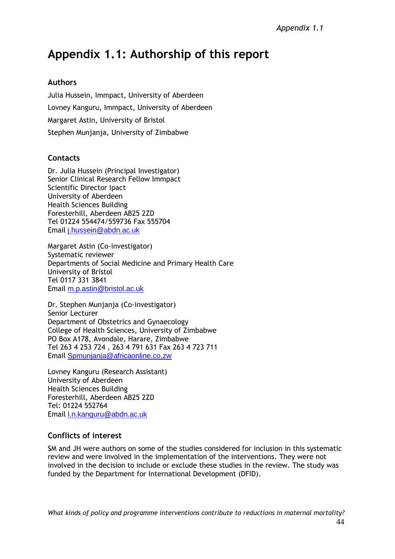# **Appendix 1.1: Authorship of this report**

# **Authors**

Julia Hussein, Immpact, University of Aberdeen Lovney Kanguru, Immpact, University of Aberdeen Margaret Astin, University of Bristol Stephen Munjanja, University of Zimbabwe

# **Contacts**

Dr. Julia Hussein (Principal Investigator) Senior Clinical Research Fellow Immpact Scientific Director Ipact University of Aberdeen Health Sciences Building Foresterhill, Aberdeen AB25 2ZD Tel 01224 554474/559736 Fax 555704 Email [j.hussein@abdn.ac.uk](mailto:j.hussein@abdn.ac.uk)

Margaret Astin (Co-investigator) Systematic reviewer Departments of Social Medicine and Primary Health Care University of Bristol Tel 0117 331 3841 Email [m.p.astin@bristol.ac.uk](mailto:m.p.astin@bristol.ac.uk)

Dr. Stephen Munjanja (Co-investigator) Senior Lecturer Department of Obstetrics and Gynaecology College of Health Sciences, University of Zimbabwe PO Box A178, Avondale, Harare, Zimbabwe Tel 263 4 253 724 , 263 4 791 631 Fax 263 4 723 711 Email [Spmunjanja@africaonline.co.zw](mailto:Spmunjanja@africaonline.co.zw)

Lovney Kanguru (Research Assistant) University of Aberdeen Health Sciences Building Foresterhill, Aberdeen AB25 2ZD Tel: 01224 552764 Email [l.n.kanguru@abdn.ac.uk](mailto:l.n.kanguru@abdn.ac.uk)

# **Conflicts of interest**

SM and JH were authors on some of the studies considered for inclusion in this systematic review and were involved in the implementation of the interventions. They were not involved in the decision to include or exclude these studies in the review. The study was funded by the Department for International Development (DFID).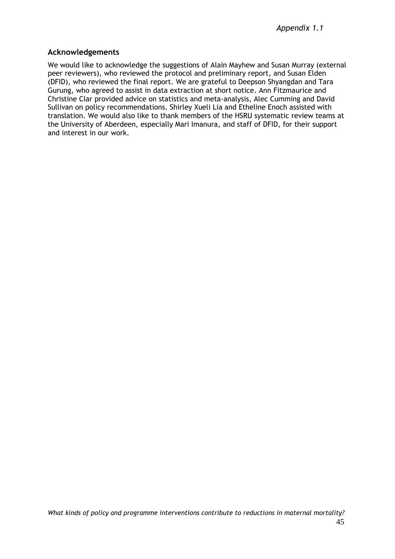#### **Acknowledgements**

We would like to acknowledge the suggestions of Alain Mayhew and Susan Murray (external peer reviewers), who reviewed the protocol and preliminary report, and Susan Elden (DFID), who reviewed the final report. We are grateful to Deepson Shyangdan and Tara Gurung, who agreed to assist in data extraction at short notice. Ann Fitzmaurice and Christine Clar provided advice on statistics and meta-analysis, Alec Cumming and David Sullivan on policy recommendations. Shirley Xueli Lia and Etheline Enoch assisted with translation. We would also like to thank members of the HSRU systematic review teams at the University of Aberdeen, especially Mari Imanura, and staff of DFID, for their support and interest in our work.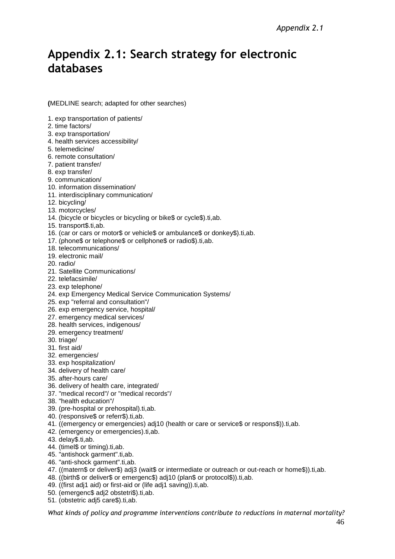# <span id="page-50-0"></span>**Appendix 2.1: Search strategy for electronic databases**

**(**MEDLINE search; adapted for other searches)

1. exp transportation of patients/

- 2. time factors/
- 3. exp transportation/
- 4. health services accessibility/
- 5. telemedicine/
- 6. remote consultation/
- 7. patient transfer/
- 8. exp transfer/
- 9. communication/
- 10. information dissemination/
- 11. interdisciplinary communication/
- 12. bicycling/
- 13. motorcycles/
- 14. (bicycle or bicycles or bicycling or bike\$ or cycle\$).ti,ab.
- 15. transport\$.ti,ab.
- 16. (car or cars or motor\$ or vehicle\$ or ambulance\$ or donkey\$).ti,ab.
- 17. (phone\$ or telephone\$ or cellphone\$ or radio\$).ti,ab.
- 18. telecommunications/
- 19. electronic mail/
- 20. radio/
- 21. Satellite Communications/
- 22. telefacsimile/
- 23. exp telephone/
- 24. exp Emergency Medical Service Communication Systems/
- 25. exp "referral and consultation"/
- 26. exp emergency service, hospital/
- 27. emergency medical services/
- 28. health services, indigenous/
- 29. emergency treatment/
- 30. triage/
- 31. first aid/
- 32. emergencies/
- 33. exp hospitalization/
- 34. delivery of health care/
- 35. after-hours care/
- 36. delivery of health care, integrated/
- 37. "medical record"/ or "medical records"/
- 38. "health education"/
- 39. (pre-hospital or prehospital).ti,ab.
- 40. (responsive\$ or referr\$).ti,ab.
- 41. ((emergency or emergencies) adj10 (health or care or service\$ or respons\$)).ti,ab.
- 42. (emergency or emergencies).ti,ab.
- 43. delay\$.ti,ab.
- 44. (timel\$ or timing).ti,ab.
- 45. "antishock garment".ti,ab.
- 46. "anti-shock garment".ti,ab.
- 47. ((matern\$ or deliver\$) adj3 (wait\$ or intermediate or outreach or out-reach or home\$)).ti,ab.
- 48. ((birth\$ or deliver\$ or emergenc\$) adj10 (plan\$ or protocol\$)).ti,ab.
- 49. ((first adj1 aid) or first-aid or (life adj1 saving)).ti,ab.
- 50. (emergenc\$ adj2 obstetri\$).ti,ab.
- 51. (obstetric adj5 care\$).ti,ab.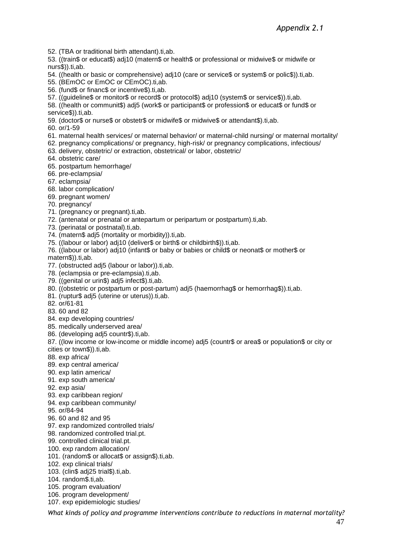52. (TBA or traditional birth attendant).ti,ab.

53. ((train\$ or educat\$) adj10 (matern\$ or health\$ or professional or midwive\$ or midwife or nurs\$)).ti,ab.

54. ((health or basic or comprehensive) adj10 (care or service\$ or system\$ or polic\$)).ti,ab.

- 55. (BEmOC or EmOC or CEmOC).ti,ab.
- 56. (fund\$ or financ\$ or incentive\$).ti,ab.
- 57. ((guideline\$ or monitor\$ or record\$ or protocol\$) adj10 (system\$ or service\$)).ti,ab.

58. ((health or communit\$) adj5 (work\$ or participant\$ or profession\$ or educat\$ or fund\$ or service\$)).ti,ab.

- 59. (doctor\$ or nurse\$ or obstetr\$ or midwife\$ or midwive\$ or attendant\$).ti,ab.
- 60. or/1-59
- 61. maternal health services/ or maternal behavior/ or maternal-child nursing/ or maternal mortality/
- 62. pregnancy complications/ or pregnancy, high-risk/ or pregnancy complications, infectious/
- 63. delivery, obstetric/ or extraction, obstetrical/ or labor, obstetric/
- 64. obstetric care/
- 65. postpartum hemorrhage/
- 66. pre-eclampsia/
- 67. eclampsia/
- 68. labor complication/
- 69. pregnant women/
- 70. pregnancy/
- 71. (pregnancy or pregnant).ti,ab.
- 72. (antenatal or prenatal or antepartum or peripartum or postpartum).ti,ab.
- 73. (perinatal or postnatal).ti, ab.
- 74. (matern\$ adj5 (mortality or morbidity)).ti,ab.
- 75. ((labour or labor) adj10 (deliver\$ or birth\$ or childbirth\$)).ti,ab.
- 76. ((labour or labor) adj10 (infant\$ or baby or babies or child\$ or neonat\$ or mother\$ or

matern\$)).ti,ab.

- 77. (obstructed adj5 (labour or labor)).ti,ab.
- 78. (eclampsia or pre-eclampsia).ti,ab.
- 79. ((genital or urin\$) adj5 infect\$).ti,ab.
- 80. ((obstetric or postpartum or post-partum) adj5 (haemorrhag\$ or hemorrhag\$)).ti,ab.
- 81. (ruptur\$ adj5 (uterine or uterus)).ti,ab.
- 82. or/61-81
- 83. 60 and 82
- 84. exp developing countries/
- 85. medically underserved area/
- 86. (developing adj5 countr\$).ti,ab.
- 87. ((low income or low-income or middle income) adj5 (countr\$ or area\$ or population\$ or city or cities or town\$)).ti,ab.
- 88. exp africa/
- 89. exp central america/
- 90. exp latin america/
- 91. exp south america/
- 92. exp asia/
- 93. exp caribbean region/
- 94. exp caribbean community/
- 95. or/84-94
- 96. 60 and 82 and 95
- 97. exp randomized controlled trials/
- 98. randomized controlled trial.pt.
- 99. controlled clinical trial.pt.
- 100. exp random allocation/
- 101. (random\$ or allocat\$ or assign\$).ti,ab.
- 102. exp clinical trials/
- 103. (clin\$ adj25 trial\$).ti,ab.
- 104. random\$.ti,ab.
- 105. program evaluation/
- 106. program development/
- 107. exp epidemiologic studies/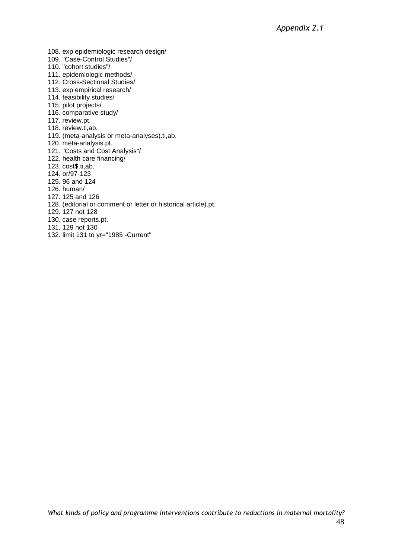- 108. exp epidemiologic research design/
- 109. "Case-Control Studies"/
- 110. "cohort studies"/
- 111. epidemiologic methods/
- 112. Cross-Sectional Studies/
- 113. exp empirical research/
- 114. feasibility studies/
- 115. pilot projects/
- 116. comparative study/
- 117. review.pt.
- 118. review.ti,ab.
- 119. (meta-analysis or meta-analyses).ti,ab.
- 120. meta-analysis.pt.
- 121. "Costs and Cost Analysis"/
- 122. health care financing/
- 123. cost\$.ti,ab.
- 124. or/97-123
- 125. 96 and 124
- 126. human/
- 127. 125 and 126
- 128. (editorial or comment or letter or historical article).pt.
- 129. 127 not 128
- 130. case reports.pt.
- 131. 129 not 130
- 132. limit 131 to yr="1985 -Current"